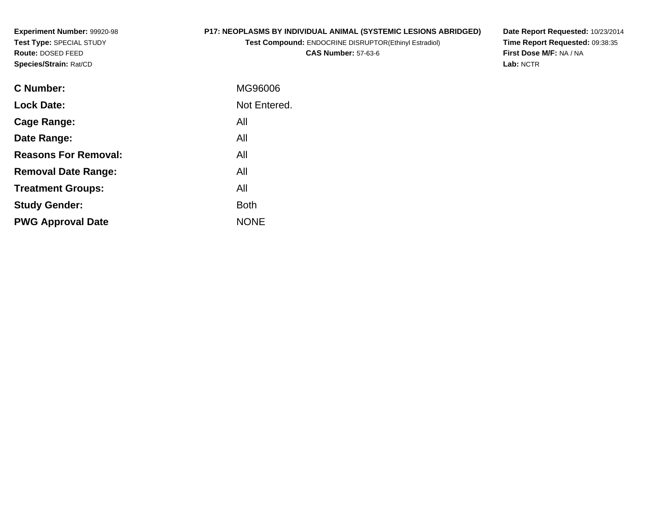**Experiment Number:** 99920-98**Test Type:** SPECIAL STUDY**Route:** DOSED FEED**Species/Strain:** Rat/CD

## **P17: NEOPLASMS BY INDIVIDUAL ANIMAL (SYSTEMIC LESIONS ABRIDGED)**

**Test Compound:** ENDOCRINE DISRUPTOR(Ethinyl Estradiol)**CAS Number:** 57-63-6

**Date Report Requested:** 10/23/2014 **Time Report Requested:** 09:38:35**First Dose M/F:** NA / NA**Lab:** NCTR

| <b>C</b> Number:            | MG96006      |
|-----------------------------|--------------|
| <b>Lock Date:</b>           | Not Entered. |
| <b>Cage Range:</b>          | All          |
| Date Range:                 | All          |
| <b>Reasons For Removal:</b> | All          |
| <b>Removal Date Range:</b>  | All          |
| <b>Treatment Groups:</b>    | All          |
| <b>Study Gender:</b>        | <b>Both</b>  |
| <b>PWG Approval Date</b>    | <b>NONE</b>  |
|                             |              |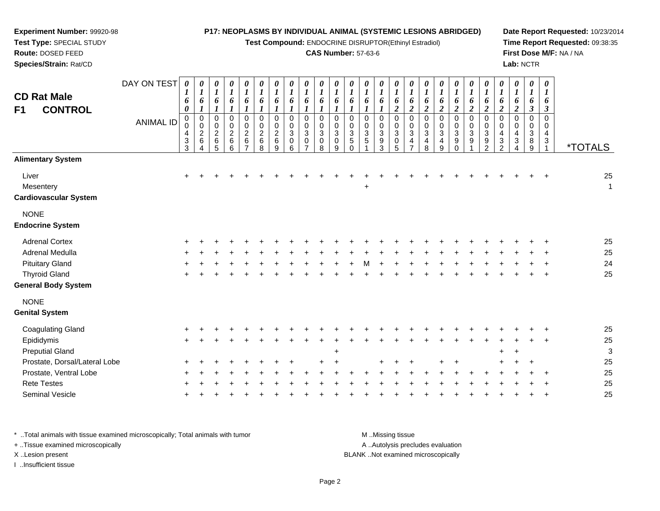#### **Experiment Number:** 99920-98**P17: NEOPLASMS BY INDIVIDUAL ANIMAL (SYSTEMIC LESIONS ABRIDGED)**

**Test Compound:** ENDOCRINE DISRUPTOR(Ethinyl Estradiol)

## **CAS Number:** 57-63-6

**Date Report Requested:** 10/23/2014**Time Report Requested:** 09:38:35**First Dose M/F:** NA / NA**Lab:** NCTR

| <b>CD Rat Male</b><br>F1<br><b>CONTROL</b>         | DAY ON TEST<br><b>ANIMAL ID</b> | 0<br>1<br>6<br>0<br>0<br>0<br>4<br>$\frac{3}{3}$ | 0<br>$\boldsymbol{I}$<br>6<br>$\boldsymbol{l}$<br>$\pmb{0}$<br>$\mathbf 0$<br>$\boldsymbol{2}$<br>$\,6\,$ | 0<br>$\boldsymbol{l}$<br>6<br>$\boldsymbol{l}$<br>$\pmb{0}$<br>$\pmb{0}$<br>$\frac{2}{6}$ | $\boldsymbol{\theta}$<br>$\boldsymbol{l}$<br>6<br>$\boldsymbol{l}$<br>$\pmb{0}$<br>$\mathbf 0$<br>$\begin{array}{c} 2 \\ 6 \\ 6 \end{array}$ | 0<br>$\boldsymbol{l}$<br>6<br>$\boldsymbol{l}$<br>0<br>$\pmb{0}$<br>$\frac{2}{6}$ | 0<br>$\boldsymbol{l}$<br>6<br>$\boldsymbol{l}$<br>$\pmb{0}$<br>$\mathbf 0$<br>$\overline{c}$<br>6<br>8 | 0<br>$\boldsymbol{l}$<br>6<br>$\boldsymbol{l}$<br>$\mathbf 0$<br>$\pmb{0}$<br>$\overline{c}$<br>$\,6$<br>9 | 0<br>$\boldsymbol{l}$<br>6<br>$\boldsymbol{l}$<br>$\mathbf 0$<br>$\mathbf 0$<br>3<br>0<br>6 | $\boldsymbol{\theta}$<br>$\boldsymbol{l}$<br>6<br>$\Omega$<br>$\Omega$<br>$\sqrt{3}$<br>$\mathbf 0$ | $\boldsymbol{\theta}$<br>$\boldsymbol{l}$<br>6<br>1<br>$\Omega$<br>$\Omega$<br>3<br>0<br>8 | $\boldsymbol{\theta}$<br>$\boldsymbol{l}$<br>6<br>$\mathbf 0$<br>$\mathbf 0$<br>$\sqrt{3}$<br>$\pmb{0}$<br>$\mathbf{Q}$ | 0<br>6<br>$\mathbf 0$<br>0<br>$\frac{3}{5}$<br>$\Omega$ | 0<br>$\boldsymbol{l}$<br>6<br>1<br>0<br>$\mathbf 0$<br>$\ensuremath{\mathsf{3}}$<br>$\sqrt{5}$ | 0<br>$\boldsymbol{l}$<br>6<br>$\boldsymbol{l}$<br>$\mathbf 0$<br>$\mathbf 0$<br>$\mathbf{3}$<br>9<br>3 | 0<br>$\boldsymbol{l}$<br>6<br>$\overline{2}$<br>$\mathbf 0$<br>$\mathbf 0$<br>$\sqrt{3}$<br>$\begin{array}{c} 0 \\ 5 \end{array}$ | 0<br>$\boldsymbol{l}$<br>6<br>$\overline{2}$<br>$\mathbf 0$<br>0<br>$\sqrt{3}$<br>4<br>$\overline{ }$ | 0<br>$\boldsymbol{l}$<br>6<br>$\boldsymbol{2}$<br>$\mathbf 0$<br>0<br>$\ensuremath{\mathsf{3}}$<br>4<br>8 | 0<br>$\boldsymbol{l}$<br>6<br>$\boldsymbol{2}$<br>$\mathbf 0$<br>0<br>$\ensuremath{\mathsf{3}}$<br>4<br>9 | 0<br>$\boldsymbol{l}$<br>6<br>$\overline{c}$<br>$\mathsf 0$<br>0<br>$\ensuremath{\mathsf{3}}$<br>9<br>$\Omega$ | 0<br>6<br>$\overline{2}$<br>0<br>0<br>$\ensuremath{\mathsf{3}}$<br>$\boldsymbol{9}$ | 0<br>$\boldsymbol{l}$<br>6<br>$\overline{\mathbf{c}}$<br>0<br>$\mathbf 0$<br>$\ensuremath{\mathsf{3}}$<br>9<br>$\overline{2}$ | 0<br>$\boldsymbol{l}$<br>6<br>$\overline{c}$<br>0<br>$\mathbf 0$<br>4<br>$\ensuremath{\mathsf{3}}$<br>$\mathcal{P}$ | 0<br>$\boldsymbol{l}$<br>6<br>$\overline{c}$<br>$\mathbf 0$<br>$\mathbf 0$<br>4<br>3<br>4 | 0<br>$\boldsymbol{l}$<br>6<br>3<br>$\Omega$<br>0<br>$\sqrt{3}$<br>8<br>9 | $\boldsymbol{\theta}$<br>1<br>6<br>$\boldsymbol{\beta}$<br>$\Omega$<br>$\Omega$<br>4<br>$\mathbf{3}$ | <i><b>*TOTALS</b></i> |
|----------------------------------------------------|---------------------------------|--------------------------------------------------|-----------------------------------------------------------------------------------------------------------|-------------------------------------------------------------------------------------------|----------------------------------------------------------------------------------------------------------------------------------------------|-----------------------------------------------------------------------------------|--------------------------------------------------------------------------------------------------------|------------------------------------------------------------------------------------------------------------|---------------------------------------------------------------------------------------------|-----------------------------------------------------------------------------------------------------|--------------------------------------------------------------------------------------------|-------------------------------------------------------------------------------------------------------------------------|---------------------------------------------------------|------------------------------------------------------------------------------------------------|--------------------------------------------------------------------------------------------------------|-----------------------------------------------------------------------------------------------------------------------------------|-------------------------------------------------------------------------------------------------------|-----------------------------------------------------------------------------------------------------------|-----------------------------------------------------------------------------------------------------------|----------------------------------------------------------------------------------------------------------------|-------------------------------------------------------------------------------------|-------------------------------------------------------------------------------------------------------------------------------|---------------------------------------------------------------------------------------------------------------------|-------------------------------------------------------------------------------------------|--------------------------------------------------------------------------|------------------------------------------------------------------------------------------------------|-----------------------|
| <b>Alimentary System</b>                           |                                 |                                                  |                                                                                                           |                                                                                           |                                                                                                                                              |                                                                                   |                                                                                                        |                                                                                                            |                                                                                             |                                                                                                     |                                                                                            |                                                                                                                         |                                                         |                                                                                                |                                                                                                        |                                                                                                                                   |                                                                                                       |                                                                                                           |                                                                                                           |                                                                                                                |                                                                                     |                                                                                                                               |                                                                                                                     |                                                                                           |                                                                          |                                                                                                      |                       |
| Liver<br>Mesentery<br><b>Cardiovascular System</b> |                                 | $\ddot{}$                                        |                                                                                                           |                                                                                           |                                                                                                                                              |                                                                                   |                                                                                                        |                                                                                                            |                                                                                             |                                                                                                     |                                                                                            |                                                                                                                         |                                                         | +                                                                                              |                                                                                                        |                                                                                                                                   |                                                                                                       |                                                                                                           |                                                                                                           |                                                                                                                |                                                                                     |                                                                                                                               |                                                                                                                     |                                                                                           |                                                                          |                                                                                                      | 25<br>$\mathbf{1}$    |
| <b>NONE</b><br><b>Endocrine System</b>             |                                 |                                                  |                                                                                                           |                                                                                           |                                                                                                                                              |                                                                                   |                                                                                                        |                                                                                                            |                                                                                             |                                                                                                     |                                                                                            |                                                                                                                         |                                                         |                                                                                                |                                                                                                        |                                                                                                                                   |                                                                                                       |                                                                                                           |                                                                                                           |                                                                                                                |                                                                                     |                                                                                                                               |                                                                                                                     |                                                                                           |                                                                          |                                                                                                      |                       |
| <b>Adrenal Cortex</b>                              |                                 |                                                  |                                                                                                           |                                                                                           |                                                                                                                                              |                                                                                   |                                                                                                        |                                                                                                            |                                                                                             |                                                                                                     |                                                                                            |                                                                                                                         |                                                         |                                                                                                |                                                                                                        |                                                                                                                                   |                                                                                                       |                                                                                                           |                                                                                                           |                                                                                                                |                                                                                     |                                                                                                                               |                                                                                                                     |                                                                                           |                                                                          |                                                                                                      | 25                    |
| Adrenal Medulla                                    |                                 |                                                  |                                                                                                           |                                                                                           |                                                                                                                                              |                                                                                   |                                                                                                        |                                                                                                            |                                                                                             |                                                                                                     |                                                                                            |                                                                                                                         |                                                         |                                                                                                |                                                                                                        |                                                                                                                                   |                                                                                                       |                                                                                                           |                                                                                                           |                                                                                                                |                                                                                     |                                                                                                                               |                                                                                                                     |                                                                                           |                                                                          |                                                                                                      | 25                    |
| <b>Pituitary Gland</b>                             |                                 |                                                  |                                                                                                           |                                                                                           |                                                                                                                                              |                                                                                   |                                                                                                        |                                                                                                            |                                                                                             |                                                                                                     |                                                                                            |                                                                                                                         |                                                         |                                                                                                |                                                                                                        |                                                                                                                                   |                                                                                                       |                                                                                                           |                                                                                                           |                                                                                                                |                                                                                     |                                                                                                                               |                                                                                                                     |                                                                                           |                                                                          |                                                                                                      | 24                    |
| <b>Thyroid Gland</b>                               |                                 |                                                  |                                                                                                           |                                                                                           |                                                                                                                                              |                                                                                   |                                                                                                        |                                                                                                            |                                                                                             |                                                                                                     |                                                                                            |                                                                                                                         |                                                         |                                                                                                |                                                                                                        |                                                                                                                                   |                                                                                                       |                                                                                                           |                                                                                                           |                                                                                                                |                                                                                     |                                                                                                                               |                                                                                                                     |                                                                                           |                                                                          |                                                                                                      | 25                    |
| <b>General Body System</b>                         |                                 |                                                  |                                                                                                           |                                                                                           |                                                                                                                                              |                                                                                   |                                                                                                        |                                                                                                            |                                                                                             |                                                                                                     |                                                                                            |                                                                                                                         |                                                         |                                                                                                |                                                                                                        |                                                                                                                                   |                                                                                                       |                                                                                                           |                                                                                                           |                                                                                                                |                                                                                     |                                                                                                                               |                                                                                                                     |                                                                                           |                                                                          |                                                                                                      |                       |
| <b>NONE</b><br><b>Genital System</b>               |                                 |                                                  |                                                                                                           |                                                                                           |                                                                                                                                              |                                                                                   |                                                                                                        |                                                                                                            |                                                                                             |                                                                                                     |                                                                                            |                                                                                                                         |                                                         |                                                                                                |                                                                                                        |                                                                                                                                   |                                                                                                       |                                                                                                           |                                                                                                           |                                                                                                                |                                                                                     |                                                                                                                               |                                                                                                                     |                                                                                           |                                                                          |                                                                                                      |                       |
| <b>Coagulating Gland</b>                           |                                 |                                                  |                                                                                                           |                                                                                           |                                                                                                                                              |                                                                                   |                                                                                                        |                                                                                                            |                                                                                             |                                                                                                     |                                                                                            |                                                                                                                         |                                                         |                                                                                                |                                                                                                        |                                                                                                                                   |                                                                                                       |                                                                                                           |                                                                                                           |                                                                                                                |                                                                                     |                                                                                                                               |                                                                                                                     |                                                                                           |                                                                          |                                                                                                      | 25                    |
| Epididymis                                         |                                 | $\ddot{}$                                        |                                                                                                           |                                                                                           |                                                                                                                                              |                                                                                   |                                                                                                        |                                                                                                            |                                                                                             |                                                                                                     |                                                                                            |                                                                                                                         |                                                         |                                                                                                |                                                                                                        |                                                                                                                                   |                                                                                                       |                                                                                                           |                                                                                                           |                                                                                                                |                                                                                     |                                                                                                                               |                                                                                                                     |                                                                                           |                                                                          |                                                                                                      | 25                    |
| <b>Preputial Gland</b>                             |                                 |                                                  |                                                                                                           |                                                                                           |                                                                                                                                              |                                                                                   |                                                                                                        |                                                                                                            |                                                                                             |                                                                                                     |                                                                                            | +                                                                                                                       |                                                         |                                                                                                |                                                                                                        |                                                                                                                                   |                                                                                                       |                                                                                                           |                                                                                                           |                                                                                                                |                                                                                     |                                                                                                                               | $\ddot{}$                                                                                                           | $\ddot{}$                                                                                 |                                                                          |                                                                                                      | 3                     |
| Prostate, Dorsal/Lateral Lobe                      |                                 |                                                  |                                                                                                           |                                                                                           |                                                                                                                                              |                                                                                   |                                                                                                        |                                                                                                            |                                                                                             |                                                                                                     |                                                                                            |                                                                                                                         |                                                         |                                                                                                |                                                                                                        |                                                                                                                                   |                                                                                                       |                                                                                                           |                                                                                                           |                                                                                                                |                                                                                     |                                                                                                                               |                                                                                                                     |                                                                                           |                                                                          |                                                                                                      | 25                    |
| Prostate, Ventral Lobe                             |                                 |                                                  |                                                                                                           |                                                                                           |                                                                                                                                              |                                                                                   |                                                                                                        |                                                                                                            |                                                                                             |                                                                                                     |                                                                                            |                                                                                                                         |                                                         |                                                                                                |                                                                                                        |                                                                                                                                   |                                                                                                       |                                                                                                           |                                                                                                           |                                                                                                                |                                                                                     |                                                                                                                               |                                                                                                                     |                                                                                           |                                                                          |                                                                                                      | 25                    |
| <b>Rete Testes</b>                                 |                                 |                                                  |                                                                                                           |                                                                                           |                                                                                                                                              |                                                                                   |                                                                                                        |                                                                                                            |                                                                                             |                                                                                                     |                                                                                            |                                                                                                                         |                                                         |                                                                                                |                                                                                                        |                                                                                                                                   |                                                                                                       |                                                                                                           |                                                                                                           |                                                                                                                |                                                                                     |                                                                                                                               |                                                                                                                     |                                                                                           |                                                                          |                                                                                                      | 25                    |
| Seminal Vesicle                                    |                                 |                                                  |                                                                                                           |                                                                                           |                                                                                                                                              |                                                                                   |                                                                                                        |                                                                                                            |                                                                                             |                                                                                                     |                                                                                            |                                                                                                                         |                                                         |                                                                                                |                                                                                                        |                                                                                                                                   |                                                                                                       |                                                                                                           |                                                                                                           |                                                                                                                |                                                                                     |                                                                                                                               |                                                                                                                     |                                                                                           |                                                                          |                                                                                                      | 25                    |
|                                                    |                                 |                                                  |                                                                                                           |                                                                                           |                                                                                                                                              |                                                                                   |                                                                                                        |                                                                                                            |                                                                                             |                                                                                                     |                                                                                            |                                                                                                                         |                                                         |                                                                                                |                                                                                                        |                                                                                                                                   |                                                                                                       |                                                                                                           |                                                                                                           |                                                                                                                |                                                                                     |                                                                                                                               |                                                                                                                     |                                                                                           |                                                                          |                                                                                                      |                       |

\* ..Total animals with tissue examined microscopically; Total animals with tumor **M** . Missing tissue M ..Missing tissue A ..Autolysis precludes evaluation + ..Tissue examined microscopically X ..Lesion present BLANK ..Not examined microscopicallyI ..Insufficient tissue

**Test Type:** SPECIAL STUDY**Route:** DOSED FEED**Species/Strain:** Rat/CD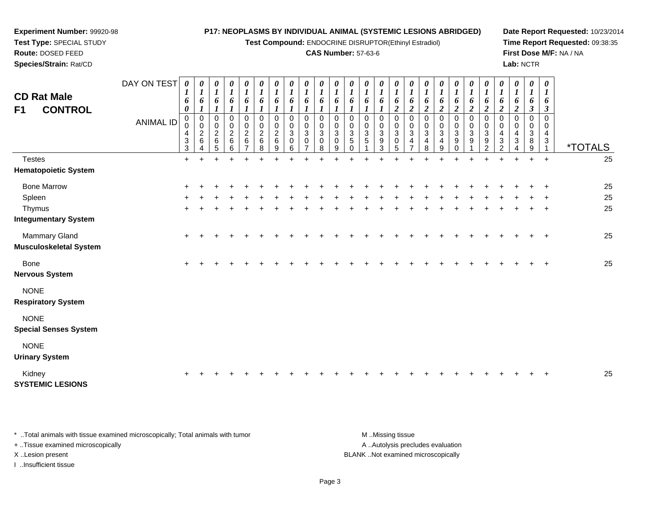**Test Compound:** ENDOCRINE DISRUPTOR(Ethinyl Estradiol)

### **CAS Number:** 57-63-6

**Date Report Requested:** 10/23/2014**Time Report Requested:** 09:38:35**First Dose M/F:** NA / NA**Lab:** NCTR

| <b>CD Rat Male</b><br><b>CONTROL</b><br>F1  | DAY ON TEST<br><b>ANIMAL ID</b> | 0<br>1<br>6<br>$\boldsymbol{\theta}$<br>$\mathbf 0$<br>0<br>4 | 0<br>$\boldsymbol{l}$<br>6<br>$\pmb{0}$<br>$\pmb{0}$<br>$\begin{array}{c} 2 \\ 6 \end{array}$ | 0<br>$\boldsymbol{l}$<br>6<br>0<br>$\mathbf 0$<br>$\overline{c}$ | 0<br>$\boldsymbol{l}$<br>6<br>$\mathbf 0$<br>$\pmb{0}$<br>$\sqrt{2}$ | 0<br>$\boldsymbol{l}$<br>6<br>$\mathbf 0$<br>$\pmb{0}$<br>$\boldsymbol{2}$ | 0<br>$\boldsymbol{l}$<br>6<br>$\mathbf 0$<br>0<br>$\boldsymbol{2}$ | 0<br>$\boldsymbol{l}$<br>6<br>$\mathbf 0$<br>$\mathbf 0$<br>$\overline{c}$ | 0<br>$\boldsymbol{l}$<br>6<br>$\Omega$<br>$\Omega$<br>3 | 0<br>$\boldsymbol{l}$<br>6<br>$\mathbf 0$<br>0<br>3 | 0<br>$\boldsymbol{l}$<br>6<br>0<br>0<br>$\mathbf{3}$ | 0<br>$\boldsymbol{l}$<br>6<br>0<br>0<br>$\mathbf{3}$ | 0<br>$\boldsymbol{l}$<br>6<br>0<br>$\pmb{0}$<br>$\mathbf{3}$ | 0<br>$\boldsymbol{l}$<br>6<br>0<br>$\pmb{0}$<br>$\ensuremath{\mathsf{3}}$ | 0<br>$\boldsymbol{l}$<br>6<br>0<br>$\pmb{0}$<br>$\ensuremath{\mathsf{3}}$ | 0<br>$\boldsymbol{l}$<br>6<br>$\overline{c}$<br>0<br>0<br>3 | 0<br>$\boldsymbol{l}$<br>6<br>$\boldsymbol{2}$<br>0<br>$\mathbf 0$<br>$\mathbf{3}$ | $\boldsymbol{\theta}$<br>$\boldsymbol{l}$<br>6<br>$\boldsymbol{2}$<br>0<br>0<br>3 | 0<br>$\boldsymbol{l}$<br>6<br>$\overline{2}$<br>$\pmb{0}$<br>$\pmb{0}$<br>$\sqrt{3}$ | 0<br>$\boldsymbol{l}$<br>6<br>$\overline{2}$<br>0<br>$\mathbf 0$<br>$\mathbf{3}$ | 0<br>$\boldsymbol{l}$<br>6<br>$\overline{2}$<br>$\pmb{0}$<br>$\pmb{0}$<br>$\mathbf{3}$ | 0<br>$\boldsymbol{l}$<br>6<br>$\boldsymbol{2}$<br>$\mathbf 0$<br>$\pmb{0}$<br>$\sqrt{3}$ | 0<br>$\boldsymbol{l}$<br>6<br>$\boldsymbol{2}$<br>$\pmb{0}$<br>$\pmb{0}$<br>4 | $\boldsymbol{\theta}$<br>$\boldsymbol{I}$<br>6<br>$\boldsymbol{2}$<br>$\mathbf 0$<br>0<br>4 | 0<br>$\boldsymbol{l}$<br>6<br>$\boldsymbol{\beta}$<br>0<br>0<br>3 | $\boldsymbol{\theta}$<br>$\boldsymbol{l}$<br>6<br>$\boldsymbol{\beta}$<br>$\Omega$<br>$\Omega$<br>4 |                       |
|---------------------------------------------|---------------------------------|---------------------------------------------------------------|-----------------------------------------------------------------------------------------------|------------------------------------------------------------------|----------------------------------------------------------------------|----------------------------------------------------------------------------|--------------------------------------------------------------------|----------------------------------------------------------------------------|---------------------------------------------------------|-----------------------------------------------------|------------------------------------------------------|------------------------------------------------------|--------------------------------------------------------------|---------------------------------------------------------------------------|---------------------------------------------------------------------------|-------------------------------------------------------------|------------------------------------------------------------------------------------|-----------------------------------------------------------------------------------|--------------------------------------------------------------------------------------|----------------------------------------------------------------------------------|----------------------------------------------------------------------------------------|------------------------------------------------------------------------------------------|-------------------------------------------------------------------------------|---------------------------------------------------------------------------------------------|-------------------------------------------------------------------|-----------------------------------------------------------------------------------------------------|-----------------------|
|                                             |                                 | 3<br>$\sqrt{3}$                                               | Δ                                                                                             | $\,6$<br>5                                                       | $\,6\,$<br>$\,6\,$                                                   | 6<br>$\overline{7}$                                                        | 6<br>8                                                             | 6<br>9                                                                     | 0<br>6                                                  | 0                                                   | $\mathbf 0$<br>8                                     | $\mathbf 0$<br>9                                     | 5<br>$\Omega$                                                | 5                                                                         | $\boldsymbol{9}$<br>$\mathbf{3}$                                          | $\pmb{0}$<br>5                                              | 4                                                                                  | 4<br>8                                                                            | $\overline{4}$<br>9                                                                  | 9<br>$\Omega$                                                                    | 9                                                                                      | 9<br>$\overline{2}$                                                                      | $\ensuremath{\mathsf{3}}$<br>$\overline{2}$                                   | 3<br>4                                                                                      | 8<br>9                                                            | $\mathbf{3}$<br>-1                                                                                  | <i><b>*TOTALS</b></i> |
| <b>Testes</b>                               |                                 | $+$                                                           |                                                                                               |                                                                  |                                                                      |                                                                            |                                                                    |                                                                            |                                                         |                                                     |                                                      |                                                      |                                                              |                                                                           |                                                                           |                                                             |                                                                                    |                                                                                   |                                                                                      |                                                                                  |                                                                                        |                                                                                          |                                                                               | ÷                                                                                           | $+$                                                               | $\ddot{}$                                                                                           | 25                    |
| <b>Hematopoietic System</b>                 |                                 |                                                               |                                                                                               |                                                                  |                                                                      |                                                                            |                                                                    |                                                                            |                                                         |                                                     |                                                      |                                                      |                                                              |                                                                           |                                                                           |                                                             |                                                                                    |                                                                                   |                                                                                      |                                                                                  |                                                                                        |                                                                                          |                                                                               |                                                                                             |                                                                   |                                                                                                     |                       |
| <b>Bone Marrow</b>                          |                                 |                                                               |                                                                                               |                                                                  |                                                                      |                                                                            |                                                                    |                                                                            |                                                         |                                                     |                                                      |                                                      |                                                              |                                                                           |                                                                           |                                                             |                                                                                    |                                                                                   |                                                                                      |                                                                                  |                                                                                        |                                                                                          |                                                                               |                                                                                             |                                                                   |                                                                                                     | 25                    |
| Spleen                                      |                                 |                                                               |                                                                                               |                                                                  |                                                                      |                                                                            |                                                                    |                                                                            |                                                         |                                                     |                                                      |                                                      |                                                              |                                                                           |                                                                           |                                                             |                                                                                    |                                                                                   |                                                                                      |                                                                                  |                                                                                        |                                                                                          |                                                                               |                                                                                             |                                                                   |                                                                                                     | 25                    |
| Thymus                                      |                                 |                                                               |                                                                                               |                                                                  |                                                                      |                                                                            |                                                                    |                                                                            |                                                         |                                                     |                                                      |                                                      |                                                              |                                                                           |                                                                           |                                                             |                                                                                    |                                                                                   |                                                                                      |                                                                                  |                                                                                        |                                                                                          |                                                                               |                                                                                             |                                                                   | $\ddot{}$                                                                                           | 25                    |
| <b>Integumentary System</b>                 |                                 |                                                               |                                                                                               |                                                                  |                                                                      |                                                                            |                                                                    |                                                                            |                                                         |                                                     |                                                      |                                                      |                                                              |                                                                           |                                                                           |                                                             |                                                                                    |                                                                                   |                                                                                      |                                                                                  |                                                                                        |                                                                                          |                                                                               |                                                                                             |                                                                   |                                                                                                     |                       |
| Mammary Gland<br>Musculoskeletal System     |                                 | $\ddot{}$                                                     |                                                                                               |                                                                  |                                                                      |                                                                            |                                                                    |                                                                            |                                                         |                                                     |                                                      |                                                      |                                                              |                                                                           |                                                                           |                                                             |                                                                                    |                                                                                   |                                                                                      |                                                                                  |                                                                                        |                                                                                          |                                                                               |                                                                                             |                                                                   | $+$                                                                                                 | 25                    |
| <b>Bone</b><br><b>Nervous System</b>        |                                 | ÷.                                                            |                                                                                               |                                                                  |                                                                      |                                                                            |                                                                    |                                                                            |                                                         |                                                     |                                                      |                                                      |                                                              |                                                                           |                                                                           |                                                             |                                                                                    |                                                                                   |                                                                                      |                                                                                  |                                                                                        |                                                                                          |                                                                               |                                                                                             |                                                                   | $\pm$                                                                                               | 25                    |
| <b>NONE</b><br><b>Respiratory System</b>    |                                 |                                                               |                                                                                               |                                                                  |                                                                      |                                                                            |                                                                    |                                                                            |                                                         |                                                     |                                                      |                                                      |                                                              |                                                                           |                                                                           |                                                             |                                                                                    |                                                                                   |                                                                                      |                                                                                  |                                                                                        |                                                                                          |                                                                               |                                                                                             |                                                                   |                                                                                                     |                       |
| <b>NONE</b><br><b>Special Senses System</b> |                                 |                                                               |                                                                                               |                                                                  |                                                                      |                                                                            |                                                                    |                                                                            |                                                         |                                                     |                                                      |                                                      |                                                              |                                                                           |                                                                           |                                                             |                                                                                    |                                                                                   |                                                                                      |                                                                                  |                                                                                        |                                                                                          |                                                                               |                                                                                             |                                                                   |                                                                                                     |                       |
| <b>NONE</b><br><b>Urinary System</b>        |                                 |                                                               |                                                                                               |                                                                  |                                                                      |                                                                            |                                                                    |                                                                            |                                                         |                                                     |                                                      |                                                      |                                                              |                                                                           |                                                                           |                                                             |                                                                                    |                                                                                   |                                                                                      |                                                                                  |                                                                                        |                                                                                          |                                                                               |                                                                                             |                                                                   |                                                                                                     |                       |
| Kidney<br><b>SYSTEMIC LESIONS</b>           |                                 |                                                               |                                                                                               |                                                                  |                                                                      |                                                                            |                                                                    |                                                                            |                                                         |                                                     |                                                      |                                                      |                                                              |                                                                           |                                                                           |                                                             |                                                                                    |                                                                                   |                                                                                      |                                                                                  |                                                                                        |                                                                                          |                                                                               |                                                                                             |                                                                   |                                                                                                     | 25                    |

\* ..Total animals with tissue examined microscopically; Total animals with tumor **M** . Missing tissue M ..Missing tissue + ..Tissue examined microscopically X ..Lesion present BLANK ..Not examined microscopically

I ..Insufficient tissue

**Experiment Number:** 99920-98**Test Type:** SPECIAL STUDY**Route:** DOSED FEED**Species/Strain:** Rat/CD

A ..Autolysis precludes evaluation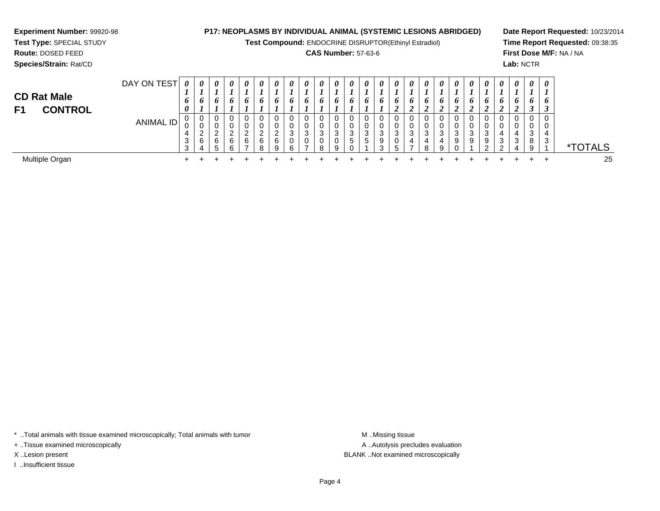**Experiment Number:** 99920-98**Test Type:** SPECIAL STUDY**Route:** DOSED FEED **Species/Strain:** Rat/CD**P17: NEOPLASMS BY INDIVIDUAL ANIMAL (SYSTEMIC LESIONS ABRIDGED)Test Compound:** ENDOCRINE DISRUPTOR(Ethinyl Estradiol)**CAS Number:** 57-63-6**Date Report Requested:** 10/23/2014**Time Report Requested:** 09:38:35**First Dose M/F:** NA / NA**Lab:** NCTRDAY ON TEST**CD Rat Male F1 CONTROL***0 1 6 00 1 6 10 1 6 10 1 6 10 1 6 10 1 6 10 1 6 10 1 6 10 1 6 10 1 6 10 1 6 10 1 6 10 1 6 10 1 6 10 1 6 20 1 6 20 1 6 20 1 6 20 1 6 20 1 6 20 1 6 20 1 6 20 1 6 20 1 6 30 1 63*

0

0

0

0

<sup>+</sup> <sup>+</sup> <sup>+</sup> <sup>+</sup> <sup>+</sup> <sup>+</sup> <sup>+</sup> <sup>+</sup> <sup>+</sup> <sup>+</sup> <sup>+</sup> <sup>+</sup> <sup>+</sup> <sup>+</sup> <sup>+</sup> <sup>+</sup> <sup>+</sup> <sup>+</sup> <sup>+</sup> <sup>+</sup> <sup>+</sup> <sup>+</sup> <sup>+</sup> <sup>+</sup> <sup>25</sup>

0

0

0

0<br>0<br>3<br>9<br>1

0

0

<sup>1</sup> \*TOTALS

25

 $+$ 

 $\ddot{}$ 

 $\ddot{}$ 

 $\ddot{}$ 

 $\ddot{}$ 

\* ..Total animals with tissue examined microscopically; Total animals with tumor

ANIMAL ID

n  $+$ 

0 0

0

0

0

0

0

 $\ddot{}$ 

 $\ddot{}$ 

 $\ddot{}$ 

 $\ddot{}$ 

4 3 3

 $+$ 

+ ..Tissue examined microscopically

I ..Insufficient tissue

Multiple Organ

A ..Autolysis precludes evaluation X ..Lesion present BLANK ..Not examined microscopically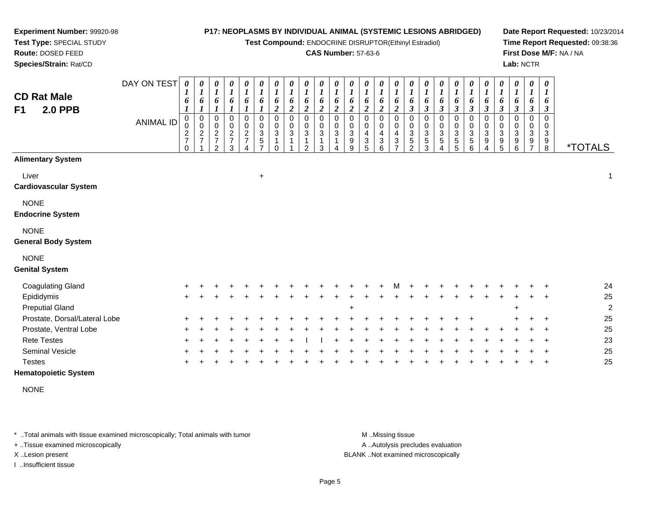**Test Compound:** ENDOCRINE DISRUPTOR(Ethinyl Estradiol)

#### **CAS Number:** 57-63-6

*0 16*

0

**Date Report Requested:** 10/23/2014**Time Report Requested:** 09:38:36**First Dose M/F:** NA / NA**Lab:** NCTR

**Route:** DOSED FEED **Species/Strain:** Rat/CDDAY ON TEST**CD Rat Male F1 2.0 PPB**ANIMAL ID*0 1 6 1*0<br>0<br>2<br>7<br>0 *0 1 6 1* 0 0 2 7 1*0 1 6 1* 0 0 2 7 2*0 1 6 1* 0 0 2 7 3*0 1 6 1* 0 0 2 7 4*0 1 6 1* 0 0 3 5 7*0 1 6 2* 0 0 3 1 0*0 1 6 2*0<br>0<br>3<br>1 1*0 1 6 2*0<br>0<br>3<br>1 2*0 1 6 2* 0 0 3 1 3*0 1 6 2* 0 0 3 1 4*0 1 6 2* 0 0 3 9 9*0 1 6 2* 0 0 4 3 5*0 1 6 2* 0 0 4 3 6*0 1 6 2*0<br>0<br>4<br>3<br>7 *0 1 6 3* 0 0 3 5 2*0 1 6 3* 0 0 3 5 3 *3***Alimentary System**Liver $\mathsf{r}$  +  $\ddot{\phantom{a}}$  1

8 \*TOTALS

#### **Cardiovascular System**

**Experiment Number:** 99920-98**Test Type:** SPECIAL STUDY

NONE

#### **Endocrine System**

NONE

#### **General Body System**

#### NONE

#### **Genital System**

| <b>Coagulating Gland</b>      | $+$     |         | $+$ |  |  |     | $+$ $+$ | $+$ $+$ $+$ $+$ $+$ |         |  |     | M + |  | + + + + + + |  |         | $+$ $+$ $+$ |         | 24            |
|-------------------------------|---------|---------|-----|--|--|-----|---------|---------------------|---------|--|-----|-----|--|-------------|--|---------|-------------|---------|---------------|
| Epididymis                    | $+$     |         |     |  |  |     |         |                     |         |  |     |     |  |             |  |         |             | $+$ $+$ | 25            |
| <b>Preputial Gland</b>        |         |         |     |  |  |     |         |                     |         |  |     |     |  |             |  | $\pm$   |             |         | $\mathcal{P}$ |
| Prostate, Dorsal/Lateral Lobe | $+$ $-$ |         | $+$ |  |  |     |         |                     |         |  |     |     |  |             |  | $+$ $-$ |             |         | 25            |
| Prostate, Ventral Lobe        | $+$     |         | $+$ |  |  |     |         |                     |         |  |     |     |  |             |  |         | $+$ $+$ $+$ |         | 25            |
| <b>Rete Testes</b>            |         | $+$ $+$ | $+$ |  |  | $+$ |         |                     | $+$ $+$ |  | $+$ |     |  |             |  |         |             | $+$ $+$ | 23            |
| <b>Seminal Vesicle</b>        |         |         |     |  |  |     |         |                     |         |  |     |     |  |             |  |         |             | $+$ $+$ | 25            |
| <b>Testes</b>                 |         |         |     |  |  |     |         |                     |         |  |     |     |  |             |  |         |             |         | 25            |

#### **Hematopoietic System**

NONE

\* ..Total animals with tissue examined microscopically; Total animals with tumor **M** ..Missing tissue M ..Missing tissue

+ ..Tissue examined microscopically

I ..Insufficient tissue

A ..Autolysis precludes evaluation

X ..Lesion present BLANK ..Not examined microscopically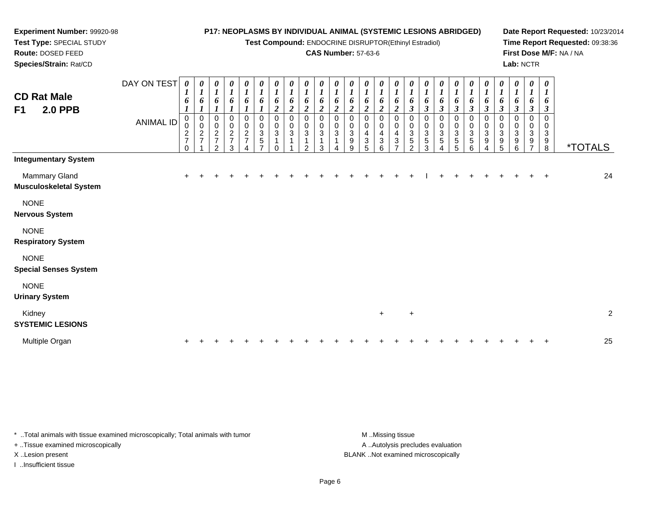**Test Compound:** ENDOCRINE DISRUPTOR(Ethinyl Estradiol)

## **CAS Number:** 57-63-6

**Date Report Requested:** 10/23/2014**Time Report Requested:** 09:38:36**First Dose M/F:** NA / NA**Lab:** NCTR

| <b>Integumentary System</b><br>Mammary Gland<br>$\pm$<br>$\overline{1}$<br>Musculoskeletal System<br><b>NONE</b><br>Nervous System<br><b>NONE</b><br><b>Respiratory System</b><br><b>NONE</b><br><b>Special Senses System</b><br><b>NONE</b><br><b>Urinary System</b><br>Kidney<br>$\ddot{}$<br>$\ddot{}$<br><b>SYSTEMIC LESIONS</b><br>Multiple Organ<br>$\pm$<br>$\pm$ | <b>CD Rat Male</b><br>F1<br><b>2.0 PPB</b> | DAY ON TEST<br><b>ANIMAL ID</b> | $\boldsymbol{\theta}$<br>1<br>6<br>$\boldsymbol{l}$<br>0<br>0<br>$\frac{2}{7}$<br>$\Omega$ | 0<br>$\boldsymbol{l}$<br>6<br>$\begin{smallmatrix}0\\0\end{smallmatrix}$<br>$\frac{2}{7}$ | $\frac{\theta}{I}$<br>6<br>0<br>$\pmb{0}$<br>$\frac{2}{7}$<br>$\mathcal{P}$ | $\frac{\theta}{I}$<br>6<br>$\boldsymbol{l}$<br>0<br>$\frac{0}{2}$<br>3 | $\frac{\theta}{I}$<br>6<br>$\boldsymbol{0}$<br>$\pmb{0}$<br>$\frac{2}{7}$ | $\begin{matrix} 0 \\ 1 \end{matrix}$<br>6<br>0<br>$\begin{array}{c} 0 \\ 3 \\ 5 \end{array}$ | $\frac{\theta}{I}$<br>6<br>$\overline{2}$<br>0<br>0<br>$\mathbf{3}$ | 0<br>$\boldsymbol{l}$<br>6<br>$\boldsymbol{2}$<br>0<br>3 | $\boldsymbol{\theta}$<br>$\boldsymbol{l}$<br>6<br>$\boldsymbol{2}$<br>0<br>$\sqrt{3}$<br>ົ | 0<br>$\boldsymbol{l}$<br>6<br>$\boldsymbol{2}$<br>0<br>0<br>3<br>3 | 0<br>$\boldsymbol{l}$<br>6<br>$\boldsymbol{2}$<br>0<br>0<br>$\sqrt{3}$ | $\pmb{\theta}$<br>$\boldsymbol{l}$<br>6<br>$\overline{c}$<br>0<br>0<br>$\ensuremath{\mathsf{3}}$<br>$\boldsymbol{9}$<br>9 | $\pmb{\theta}$<br>$\boldsymbol{l}$<br>6<br>$\overline{2}$<br>$\Omega$<br>0<br>4<br>3<br>5 | 0<br>$\boldsymbol{l}$<br>6<br>$\overline{c}$<br>$\Omega$<br>0<br>4<br>3<br>6 | $\pmb{\theta}$<br>$\boldsymbol{l}$<br>6<br>$\boldsymbol{2}$<br>0<br>0<br>4<br>$\ensuremath{\mathsf{3}}$<br>$\overline{ }$ | 0<br>$\boldsymbol{l}$<br>6<br>$\boldsymbol{\beta}$<br>0<br>0<br>3<br>$\overline{5}$<br>$\mathfrak{p}$ | $\pmb{\theta}$<br>1<br>6<br>$\boldsymbol{\beta}$<br>0<br>$\pmb{0}$<br>$\overline{3}$<br>5<br>3 | 0<br>$\boldsymbol{l}$<br>6<br>$\boldsymbol{\mathfrak{z}}$<br>0<br>$\pmb{0}$<br>$\overline{3}$<br>5 | 0<br>$\boldsymbol{l}$<br>6<br>$\boldsymbol{\beta}$<br>0<br>$\pmb{0}$<br>$\ensuremath{\mathsf{3}}$<br>$\mathbf 5$<br>5 | $\pmb{\theta}$<br>$\boldsymbol{l}$<br>6<br>$\boldsymbol{\beta}$<br>0<br>$\pmb{0}$<br>$\sqrt{3}$<br>$\mathbf 5$<br>6 | 0<br>$\boldsymbol{l}$<br>6<br>$\boldsymbol{\beta}$<br>0<br>$\mathbf 0$<br>$\ensuremath{\mathsf{3}}$<br>9<br>4 | $\boldsymbol{l}$<br>6<br>$\Omega$<br>0<br>3<br>9 | 0<br>$\boldsymbol{\beta}$<br>5 | 0<br>$\boldsymbol{l}$<br>6<br>$\boldsymbol{\beta}$<br>0<br>0<br>3<br>9<br>6 | $\boldsymbol{\theta}$<br>$\boldsymbol{l}$<br>$\boldsymbol{\beta}$<br>3<br>9 | 0<br>6<br>$\boldsymbol{\beta}$<br>$\Omega$<br>0<br>$\ensuremath{\mathsf{3}}$<br>$_{8}^{\rm 9}$ | <i><b>*TOTALS</b></i> |                |
|--------------------------------------------------------------------------------------------------------------------------------------------------------------------------------------------------------------------------------------------------------------------------------------------------------------------------------------------------------------------------|--------------------------------------------|---------------------------------|--------------------------------------------------------------------------------------------|-------------------------------------------------------------------------------------------|-----------------------------------------------------------------------------|------------------------------------------------------------------------|---------------------------------------------------------------------------|----------------------------------------------------------------------------------------------|---------------------------------------------------------------------|----------------------------------------------------------|--------------------------------------------------------------------------------------------|--------------------------------------------------------------------|------------------------------------------------------------------------|---------------------------------------------------------------------------------------------------------------------------|-------------------------------------------------------------------------------------------|------------------------------------------------------------------------------|---------------------------------------------------------------------------------------------------------------------------|-------------------------------------------------------------------------------------------------------|------------------------------------------------------------------------------------------------|----------------------------------------------------------------------------------------------------|-----------------------------------------------------------------------------------------------------------------------|---------------------------------------------------------------------------------------------------------------------|---------------------------------------------------------------------------------------------------------------|--------------------------------------------------|--------------------------------|-----------------------------------------------------------------------------|-----------------------------------------------------------------------------|------------------------------------------------------------------------------------------------|-----------------------|----------------|
|                                                                                                                                                                                                                                                                                                                                                                          |                                            |                                 |                                                                                            |                                                                                           |                                                                             |                                                                        |                                                                           |                                                                                              |                                                                     |                                                          |                                                                                            |                                                                    |                                                                        |                                                                                                                           |                                                                                           |                                                                              |                                                                                                                           |                                                                                                       |                                                                                                |                                                                                                    |                                                                                                                       |                                                                                                                     |                                                                                                               |                                                  |                                |                                                                             |                                                                             |                                                                                                |                       | 24             |
|                                                                                                                                                                                                                                                                                                                                                                          |                                            |                                 |                                                                                            |                                                                                           |                                                                             |                                                                        |                                                                           |                                                                                              |                                                                     |                                                          |                                                                                            |                                                                    |                                                                        |                                                                                                                           |                                                                                           |                                                                              |                                                                                                                           |                                                                                                       |                                                                                                |                                                                                                    |                                                                                                                       |                                                                                                                     |                                                                                                               |                                                  |                                |                                                                             |                                                                             |                                                                                                |                       |                |
|                                                                                                                                                                                                                                                                                                                                                                          |                                            |                                 |                                                                                            |                                                                                           |                                                                             |                                                                        |                                                                           |                                                                                              |                                                                     |                                                          |                                                                                            |                                                                    |                                                                        |                                                                                                                           |                                                                                           |                                                                              |                                                                                                                           |                                                                                                       |                                                                                                |                                                                                                    |                                                                                                                       |                                                                                                                     |                                                                                                               |                                                  |                                |                                                                             |                                                                             |                                                                                                |                       |                |
|                                                                                                                                                                                                                                                                                                                                                                          |                                            |                                 |                                                                                            |                                                                                           |                                                                             |                                                                        |                                                                           |                                                                                              |                                                                     |                                                          |                                                                                            |                                                                    |                                                                        |                                                                                                                           |                                                                                           |                                                                              |                                                                                                                           |                                                                                                       |                                                                                                |                                                                                                    |                                                                                                                       |                                                                                                                     |                                                                                                               |                                                  |                                |                                                                             |                                                                             |                                                                                                |                       |                |
|                                                                                                                                                                                                                                                                                                                                                                          |                                            |                                 |                                                                                            |                                                                                           |                                                                             |                                                                        |                                                                           |                                                                                              |                                                                     |                                                          |                                                                                            |                                                                    |                                                                        |                                                                                                                           |                                                                                           |                                                                              |                                                                                                                           |                                                                                                       |                                                                                                |                                                                                                    |                                                                                                                       |                                                                                                                     |                                                                                                               |                                                  |                                |                                                                             |                                                                             |                                                                                                |                       |                |
|                                                                                                                                                                                                                                                                                                                                                                          |                                            |                                 |                                                                                            |                                                                                           |                                                                             |                                                                        |                                                                           |                                                                                              |                                                                     |                                                          |                                                                                            |                                                                    |                                                                        |                                                                                                                           |                                                                                           |                                                                              |                                                                                                                           |                                                                                                       |                                                                                                |                                                                                                    |                                                                                                                       |                                                                                                                     |                                                                                                               |                                                  |                                |                                                                             |                                                                             |                                                                                                |                       |                |
|                                                                                                                                                                                                                                                                                                                                                                          |                                            |                                 |                                                                                            |                                                                                           |                                                                             |                                                                        |                                                                           |                                                                                              |                                                                     |                                                          |                                                                                            |                                                                    |                                                                        |                                                                                                                           |                                                                                           |                                                                              |                                                                                                                           |                                                                                                       |                                                                                                |                                                                                                    |                                                                                                                       |                                                                                                                     |                                                                                                               |                                                  |                                |                                                                             |                                                                             |                                                                                                |                       | $\overline{2}$ |
|                                                                                                                                                                                                                                                                                                                                                                          |                                            |                                 |                                                                                            |                                                                                           |                                                                             |                                                                        |                                                                           |                                                                                              |                                                                     |                                                          |                                                                                            |                                                                    |                                                                        |                                                                                                                           |                                                                                           |                                                                              |                                                                                                                           |                                                                                                       |                                                                                                |                                                                                                    |                                                                                                                       |                                                                                                                     |                                                                                                               |                                                  |                                |                                                                             |                                                                             |                                                                                                |                       | 25             |

\* ..Total animals with tissue examined microscopically; Total animals with tumor **M** . Missing tissue M ..Missing tissue

+ ..Tissue examined microscopically

**Experiment Number:** 99920-98**Test Type:** SPECIAL STUDY**Route:** DOSED FEED**Species/Strain:** Rat/CD

I ..Insufficient tissue

A ..Autolysis precludes evaluation X ..Lesion present BLANK ..Not examined microscopically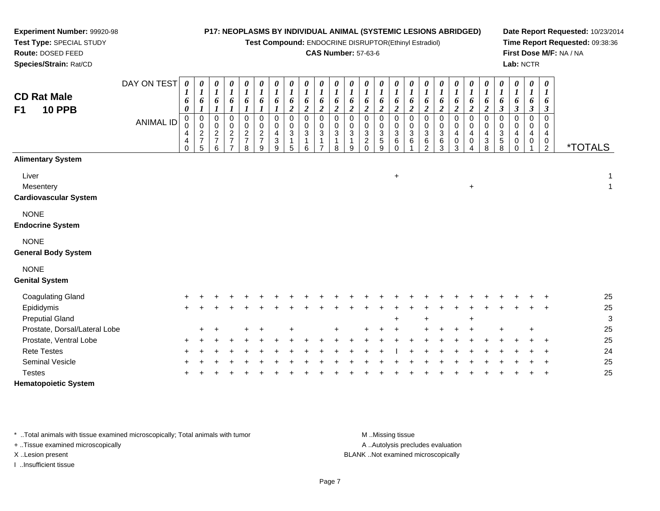**Test Compound:** ENDOCRINE DISRUPTOR(Ethinyl Estradiol)

## **CAS Number:** 57-63-6

**Date Report Requested:** 10/23/2014**Time Report Requested:** 09:38:36**First Dose M/F:** NA / NA**Lab:** NCTR

**Test Type:** SPECIAL STUDY**Route:** DOSED FEED **Species/Strain:** Rat/CDDAY ON TEST *0 1 6***CD Rat Male***0 1 60 1 60 1 60 1 60 1 60 1 60 1 6*

# **F1**

**Experiment Number:** 99920-98

| <b>CD Rat Male</b><br><b>10 PPB</b><br>F <sub>1</sub> | DAY ON TEST<br><b>ANIMAL ID</b> | 0<br>1<br>6<br>$\boldsymbol{\theta}$<br>0<br>0<br>4<br>4<br>$\Omega$ | 0<br>1<br>6<br>$\boldsymbol{l}$<br>$\pmb{0}$<br>$\mathbf 0$<br>$\overline{a}$<br>$\boldsymbol{7}$<br>5 | 0<br>1<br>6<br>$\boldsymbol{l}$<br>0<br>$\pmb{0}$<br>$\boldsymbol{2}$<br>$\overline{7}$<br>6 | 0<br>$\boldsymbol{l}$<br>6<br>$\boldsymbol{l}$<br>0<br>$\pmb{0}$<br>$\frac{2}{7}$<br>$\overline{7}$ | 0<br>$\boldsymbol{l}$<br>6<br>$\boldsymbol{l}$<br>0<br>$\pmb{0}$<br>$\frac{2}{7}$<br>8 | 0<br>$\boldsymbol{l}$<br>6<br>$\boldsymbol{l}$<br>$\mathbf 0$<br>$\pmb{0}$<br>$\overline{c}$<br>$\overline{7}$<br>9 | 0<br>$\boldsymbol{l}$<br>6<br>$\boldsymbol{l}$<br>$\mathbf 0$<br>$\pmb{0}$<br>4<br>$\ensuremath{\mathsf{3}}$<br>9 | 0<br>$\boldsymbol{l}$<br>6<br>$\overline{2}$<br>$\mathbf 0$<br>$\mathbf 0$<br>3<br>1<br>5 | 0<br>$\boldsymbol{l}$<br>6<br>$\boldsymbol{2}$<br>0<br>$\mathbf 0$<br>$\sqrt{3}$<br>$\mathbf{1}$<br>6 | $\boldsymbol{\theta}$<br>$\boldsymbol{l}$<br>6<br>$\boldsymbol{2}$<br>$\mathbf 0$<br>$\mathbf 0$<br>$\sqrt{3}$ | 0<br>$\boldsymbol{l}$<br>6<br>$\boldsymbol{2}$<br>$\mathbf 0$<br>$\mathbf 0$<br>$\ensuremath{\mathsf{3}}$<br>8 | 0<br>$\boldsymbol{l}$<br>6<br>$\overline{2}$<br>0<br>$\mathbf 0$<br>3<br>9 | 0<br>$\boldsymbol{l}$<br>6<br>$\boldsymbol{2}$<br>0<br>$\pmb{0}$<br>$\sqrt{3}$<br>$\boldsymbol{2}$<br>$\mathbf 0$ | 0<br>$\boldsymbol{l}$<br>6<br>$\boldsymbol{2}$<br>$\mathbf 0$<br>$\pmb{0}$<br>$\ensuremath{\mathsf{3}}$<br>$\sqrt{5}$<br>9 | 0<br>$\boldsymbol{l}$<br>6<br>$\overline{2}$<br>$\mathbf 0$<br>$\pmb{0}$<br>$\ensuremath{\mathsf{3}}$<br>$\,6\,$<br>$\mathbf 0$ | 0<br>$\boldsymbol{l}$<br>6<br>$\boldsymbol{2}$<br>0<br>$\mathbf 0$<br>$\mathbf 3$<br>$\,6$ | $\bm{l}$<br>6<br>$\boldsymbol{2}$<br>0<br>0<br>$\ensuremath{\mathsf{3}}$<br>6<br>2 | $\boldsymbol{l}$<br>6<br>$\boldsymbol{2}$<br>$\mathbf 0$<br>$\mathbf 0$<br>$\sqrt{3}$<br>6<br>3 | 0<br>1<br>6<br>$\boldsymbol{2}$<br>0<br>0<br>4<br>0<br>3 | 0<br>$\boldsymbol{l}$<br>6<br>$\boldsymbol{2}$<br>0<br>0<br>4<br>0<br>4 | 0<br>$\boldsymbol{l}$<br>6<br>$\boldsymbol{2}$<br>0<br>$\mathsf 0$<br>4<br>$\ensuremath{\mathsf{3}}$<br>8 | 0<br>$\boldsymbol{l}$<br>6<br>$\boldsymbol{\beta}$<br>$\mathbf 0$<br>$\mathbf 0$<br>3<br>$\sqrt{5}$<br>8 | 0<br>$\boldsymbol{l}$<br>6<br>$\mathfrak{z}$<br>$\mathbf 0$<br>$\mathbf 0$<br>4<br>0<br>$\mathbf 0$ | 0<br>$\boldsymbol{l}$<br>6<br>$\boldsymbol{\beta}$<br>0<br>0<br>$\overline{\mathbf{r}}$<br>0 | 0<br>$\boldsymbol{l}$<br>6<br>$\boldsymbol{\beta}$<br>$\Omega$<br>$\mathbf 0$<br>$\overline{\mathbf{4}}$<br>0<br>$\overline{2}$ | <i><b>*TOTALS</b></i> |                              |
|-------------------------------------------------------|---------------------------------|----------------------------------------------------------------------|--------------------------------------------------------------------------------------------------------|----------------------------------------------------------------------------------------------|-----------------------------------------------------------------------------------------------------|----------------------------------------------------------------------------------------|---------------------------------------------------------------------------------------------------------------------|-------------------------------------------------------------------------------------------------------------------|-------------------------------------------------------------------------------------------|-------------------------------------------------------------------------------------------------------|----------------------------------------------------------------------------------------------------------------|----------------------------------------------------------------------------------------------------------------|----------------------------------------------------------------------------|-------------------------------------------------------------------------------------------------------------------|----------------------------------------------------------------------------------------------------------------------------|---------------------------------------------------------------------------------------------------------------------------------|--------------------------------------------------------------------------------------------|------------------------------------------------------------------------------------|-------------------------------------------------------------------------------------------------|----------------------------------------------------------|-------------------------------------------------------------------------|-----------------------------------------------------------------------------------------------------------|----------------------------------------------------------------------------------------------------------|-----------------------------------------------------------------------------------------------------|----------------------------------------------------------------------------------------------|---------------------------------------------------------------------------------------------------------------------------------|-----------------------|------------------------------|
| <b>Alimentary System</b>                              |                                 |                                                                      |                                                                                                        |                                                                                              |                                                                                                     |                                                                                        |                                                                                                                     |                                                                                                                   |                                                                                           |                                                                                                       |                                                                                                                |                                                                                                                |                                                                            |                                                                                                                   |                                                                                                                            |                                                                                                                                 |                                                                                            |                                                                                    |                                                                                                 |                                                          |                                                                         |                                                                                                           |                                                                                                          |                                                                                                     |                                                                                              |                                                                                                                                 |                       |                              |
| Liver<br>Mesentery<br><b>Cardiovascular System</b>    |                                 |                                                                      |                                                                                                        |                                                                                              |                                                                                                     |                                                                                        |                                                                                                                     |                                                                                                                   |                                                                                           |                                                                                                       |                                                                                                                |                                                                                                                |                                                                            |                                                                                                                   |                                                                                                                            | $+$                                                                                                                             |                                                                                            |                                                                                    |                                                                                                 |                                                          | $\ddot{}$                                                               |                                                                                                           |                                                                                                          |                                                                                                     |                                                                                              |                                                                                                                                 |                       | $\mathbf{1}$<br>$\mathbf{1}$ |
| <b>NONE</b><br><b>Endocrine System</b>                |                                 |                                                                      |                                                                                                        |                                                                                              |                                                                                                     |                                                                                        |                                                                                                                     |                                                                                                                   |                                                                                           |                                                                                                       |                                                                                                                |                                                                                                                |                                                                            |                                                                                                                   |                                                                                                                            |                                                                                                                                 |                                                                                            |                                                                                    |                                                                                                 |                                                          |                                                                         |                                                                                                           |                                                                                                          |                                                                                                     |                                                                                              |                                                                                                                                 |                       |                              |
| <b>NONE</b><br><b>General Body System</b>             |                                 |                                                                      |                                                                                                        |                                                                                              |                                                                                                     |                                                                                        |                                                                                                                     |                                                                                                                   |                                                                                           |                                                                                                       |                                                                                                                |                                                                                                                |                                                                            |                                                                                                                   |                                                                                                                            |                                                                                                                                 |                                                                                            |                                                                                    |                                                                                                 |                                                          |                                                                         |                                                                                                           |                                                                                                          |                                                                                                     |                                                                                              |                                                                                                                                 |                       |                              |
| <b>NONE</b><br><b>Genital System</b>                  |                                 |                                                                      |                                                                                                        |                                                                                              |                                                                                                     |                                                                                        |                                                                                                                     |                                                                                                                   |                                                                                           |                                                                                                       |                                                                                                                |                                                                                                                |                                                                            |                                                                                                                   |                                                                                                                            |                                                                                                                                 |                                                                                            |                                                                                    |                                                                                                 |                                                          |                                                                         |                                                                                                           |                                                                                                          |                                                                                                     |                                                                                              |                                                                                                                                 |                       |                              |
| <b>Coagulating Gland</b>                              |                                 |                                                                      |                                                                                                        |                                                                                              |                                                                                                     |                                                                                        |                                                                                                                     |                                                                                                                   |                                                                                           |                                                                                                       |                                                                                                                |                                                                                                                |                                                                            |                                                                                                                   |                                                                                                                            |                                                                                                                                 |                                                                                            |                                                                                    |                                                                                                 |                                                          |                                                                         |                                                                                                           |                                                                                                          |                                                                                                     |                                                                                              |                                                                                                                                 |                       | 25                           |
| Epididymis                                            |                                 | ÷                                                                    |                                                                                                        |                                                                                              |                                                                                                     |                                                                                        |                                                                                                                     |                                                                                                                   |                                                                                           |                                                                                                       |                                                                                                                |                                                                                                                |                                                                            |                                                                                                                   |                                                                                                                            |                                                                                                                                 |                                                                                            |                                                                                    |                                                                                                 |                                                          |                                                                         |                                                                                                           |                                                                                                          |                                                                                                     |                                                                                              |                                                                                                                                 |                       | 25                           |
| <b>Preputial Gland</b>                                |                                 |                                                                      |                                                                                                        |                                                                                              |                                                                                                     |                                                                                        |                                                                                                                     |                                                                                                                   |                                                                                           |                                                                                                       |                                                                                                                |                                                                                                                |                                                                            |                                                                                                                   |                                                                                                                            | $\ddot{}$                                                                                                                       |                                                                                            |                                                                                    |                                                                                                 |                                                          | $\ddot{}$                                                               |                                                                                                           |                                                                                                          |                                                                                                     |                                                                                              |                                                                                                                                 |                       | $\mathbf{3}$                 |
| Prostate, Dorsal/Lateral Lobe                         |                                 |                                                                      |                                                                                                        |                                                                                              |                                                                                                     |                                                                                        |                                                                                                                     |                                                                                                                   |                                                                                           |                                                                                                       |                                                                                                                |                                                                                                                |                                                                            |                                                                                                                   |                                                                                                                            |                                                                                                                                 |                                                                                            |                                                                                    |                                                                                                 |                                                          |                                                                         |                                                                                                           |                                                                                                          |                                                                                                     | ÷                                                                                            |                                                                                                                                 |                       | 25                           |
| Prostate, Ventral Lobe                                |                                 |                                                                      |                                                                                                        |                                                                                              |                                                                                                     |                                                                                        |                                                                                                                     |                                                                                                                   |                                                                                           |                                                                                                       |                                                                                                                |                                                                                                                |                                                                            |                                                                                                                   |                                                                                                                            |                                                                                                                                 |                                                                                            |                                                                                    |                                                                                                 |                                                          |                                                                         |                                                                                                           |                                                                                                          |                                                                                                     |                                                                                              |                                                                                                                                 |                       | 25                           |
| <b>Rete Testes</b><br>Seminal Vesicle                 |                                 |                                                                      |                                                                                                        |                                                                                              |                                                                                                     |                                                                                        |                                                                                                                     |                                                                                                                   |                                                                                           |                                                                                                       |                                                                                                                |                                                                                                                |                                                                            |                                                                                                                   |                                                                                                                            |                                                                                                                                 |                                                                                            |                                                                                    |                                                                                                 |                                                          |                                                                         |                                                                                                           |                                                                                                          |                                                                                                     |                                                                                              |                                                                                                                                 |                       | 24<br>25                     |
| <b>Testes</b>                                         |                                 |                                                                      |                                                                                                        |                                                                                              |                                                                                                     |                                                                                        |                                                                                                                     |                                                                                                                   |                                                                                           |                                                                                                       |                                                                                                                |                                                                                                                |                                                                            |                                                                                                                   |                                                                                                                            |                                                                                                                                 |                                                                                            |                                                                                    |                                                                                                 |                                                          |                                                                         |                                                                                                           |                                                                                                          |                                                                                                     |                                                                                              |                                                                                                                                 |                       | 25                           |

**Hematopoietic System**

\* ..Total animals with tissue examined microscopically; Total animals with tumor **M** ..Missing tissue M ..Missing tissue

+ ..Tissue examined microscopically

I ..Insufficient tissue

A .. Autolysis precludes evaluation

X ..Lesion present BLANK ..Not examined microscopically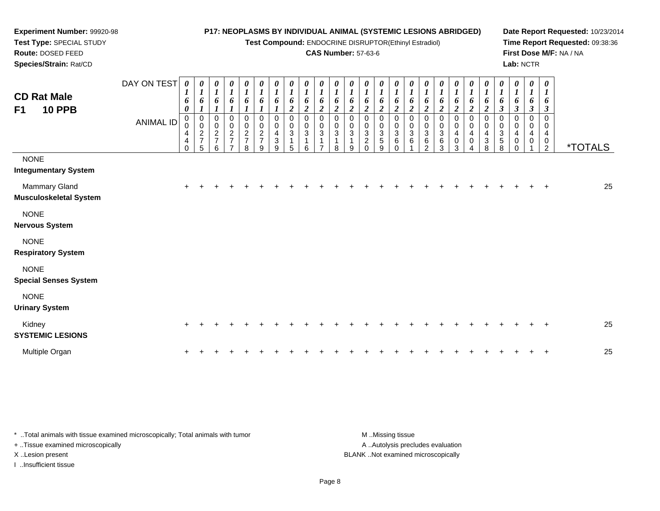**Test Compound:** ENDOCRINE DISRUPTOR(Ethinyl Estradiol)

## **CAS Number:** 57-63-6

**Date Report Requested:** 10/23/2014**Time Report Requested:** 09:38:36**First Dose M/F:** NA / NA**Lab:** NCTR

| <b>CD Rat Male</b><br><b>10 PPB</b><br>F <sub>1</sub> | DAY ON TEST<br><b>ANIMAL ID</b> | 0<br>$\boldsymbol{I}$<br>6<br>$\boldsymbol{\theta}$<br>$\mathbf 0$<br>0<br>4<br>4<br>$\mathbf 0$ | 0<br>$\boldsymbol{l}$<br>6<br>$\boldsymbol{l}$<br>$\pmb{0}$<br>$\mathbf 0$<br>$\begin{array}{c} 2 \\ 7 \\ 5 \end{array}$ | $\pmb{\theta}$<br>$\boldsymbol{l}$<br>6<br>1<br>$\pmb{0}$<br>$\pmb{0}$<br>$\overline{c}$<br>$\overline{7}$<br>6 | $\begin{matrix} 0 \\ 1 \end{matrix}$<br>6<br>$\boldsymbol{l}$<br>$\,0\,$<br>$\begin{array}{c} 0 \\ 2 \\ 7 \end{array}$<br>7 | $\boldsymbol{\theta}$<br>$\boldsymbol{l}$<br>6<br>0<br>$\mathbf 0$<br>$\frac{2}{7}$<br>8 | 0<br>$\boldsymbol{l}$<br>6<br>0<br>$\pmb{0}$<br>$\frac{2}{7}$<br>9 | 0<br>$\boldsymbol{l}$<br>6<br>$\pmb{0}$<br>$\mathbf 0$<br>$\overline{\mathbf{4}}$<br>$\sqrt{3}$<br>9 | 0<br>$\boldsymbol{l}$<br>6<br>$\overline{c}$<br>$\mathbf 0$<br>$\mathbf 0$<br>3<br>5 | 0<br>$\boldsymbol{l}$<br>6<br>$\boldsymbol{2}$<br>$\mathbf 0$<br>0<br>$\mathbf{3}$<br>6 | $\boldsymbol{\theta}$<br>$\boldsymbol{l}$<br>6<br>$\boldsymbol{2}$<br>$\mathbf 0$<br>0<br>3 | $\pmb{\theta}$<br>$\boldsymbol{l}$<br>6<br>$\boldsymbol{2}$<br>$\mathbf 0$<br>0<br>$\sqrt{3}$<br>8 | 0<br>$\boldsymbol{l}$<br>6<br>$\overline{2}$<br>0<br>0<br>$\mathbf{3}$<br>9 | 0<br>$\boldsymbol{l}$<br>6<br>$\boldsymbol{2}$<br>0<br>$\pmb{0}$<br>$\mathbf{3}$<br>$\boldsymbol{2}$<br>$\Omega$ | 0<br>$\boldsymbol{l}$<br>6<br>$\overline{2}$<br>0<br>$\pmb{0}$<br>$\mathbf{3}$<br>5<br>9 | 0<br>$\boldsymbol{l}$<br>6<br>$\boldsymbol{2}$<br>0<br>$\mathbf 0$<br>$\ensuremath{\mathsf{3}}$<br>$\,6\,$<br>$\Omega$ | 0<br>$\boldsymbol{l}$<br>6<br>$\boldsymbol{2}$<br>$\mathbf 0$<br>$\pmb{0}$<br>$\sqrt{3}$<br>$\,6\,$ | $\boldsymbol{l}$<br>6<br>$\overline{c}$<br>$\mathbf 0$<br>$\,0\,$<br>$\ensuremath{\mathsf{3}}$<br>6<br>$\mathfrak{p}$ | 0<br>$\boldsymbol{l}$<br>6<br>$\boldsymbol{2}$<br>$\pmb{0}$<br>$\,0\,$<br>$\sqrt{3}$<br>$\,6$<br>3 | 0<br>$\boldsymbol{l}$<br>6<br>$\overline{c}$<br>0<br>$\mathbf 0$<br>$\overline{\mathbf{4}}$<br>$\mathsf{O}\xspace$<br>3 | $\pmb{\theta}$<br>$\boldsymbol{l}$<br>6<br>$\overline{c}$<br>0<br>$\pmb{0}$<br>$\overline{\mathbf{4}}$<br>$\pmb{0}$<br>4 | $\pmb{\theta}$<br>$\boldsymbol{l}$<br>6<br>$\overline{c}$<br>$\mathbf 0$<br>$\pmb{0}$<br>$\overline{\mathbf{4}}$<br>$\ensuremath{\mathsf{3}}$<br>8 | 0<br>$\boldsymbol{l}$<br>6<br>$\boldsymbol{\beta}$<br>0<br>$\pmb{0}$<br>$\frac{3}{5}$<br>8 | $\boldsymbol{\theta}$<br>$\boldsymbol{l}$<br>6<br>$\boldsymbol{\beta}$<br>0<br>0<br>$\overline{4}$<br>0<br>$\Omega$ | 0<br>$\boldsymbol{l}$<br>6<br>$\boldsymbol{\beta}$<br>0<br>0<br>4<br>0 | $\boldsymbol{\theta}$<br>$\bm{l}$<br>6<br>$\boldsymbol{\beta}$<br>$\mathbf 0$<br>0<br>$\overline{4}$<br>$\mathbf 0$<br>$\overline{2}$ | <i><b>*TOTALS</b></i> |
|-------------------------------------------------------|---------------------------------|--------------------------------------------------------------------------------------------------|--------------------------------------------------------------------------------------------------------------------------|-----------------------------------------------------------------------------------------------------------------|-----------------------------------------------------------------------------------------------------------------------------|------------------------------------------------------------------------------------------|--------------------------------------------------------------------|------------------------------------------------------------------------------------------------------|--------------------------------------------------------------------------------------|-----------------------------------------------------------------------------------------|---------------------------------------------------------------------------------------------|----------------------------------------------------------------------------------------------------|-----------------------------------------------------------------------------|------------------------------------------------------------------------------------------------------------------|------------------------------------------------------------------------------------------|------------------------------------------------------------------------------------------------------------------------|-----------------------------------------------------------------------------------------------------|-----------------------------------------------------------------------------------------------------------------------|----------------------------------------------------------------------------------------------------|-------------------------------------------------------------------------------------------------------------------------|--------------------------------------------------------------------------------------------------------------------------|----------------------------------------------------------------------------------------------------------------------------------------------------|--------------------------------------------------------------------------------------------|---------------------------------------------------------------------------------------------------------------------|------------------------------------------------------------------------|---------------------------------------------------------------------------------------------------------------------------------------|-----------------------|
| <b>NONE</b><br><b>Integumentary System</b>            |                                 |                                                                                                  |                                                                                                                          |                                                                                                                 |                                                                                                                             |                                                                                          |                                                                    |                                                                                                      |                                                                                      |                                                                                         |                                                                                             |                                                                                                    |                                                                             |                                                                                                                  |                                                                                          |                                                                                                                        |                                                                                                     |                                                                                                                       |                                                                                                    |                                                                                                                         |                                                                                                                          |                                                                                                                                                    |                                                                                            |                                                                                                                     |                                                                        |                                                                                                                                       |                       |
| <b>Mammary Gland</b><br><b>Musculoskeletal System</b> |                                 | $\ddot{}$                                                                                        |                                                                                                                          |                                                                                                                 |                                                                                                                             |                                                                                          |                                                                    |                                                                                                      |                                                                                      |                                                                                         |                                                                                             |                                                                                                    |                                                                             |                                                                                                                  |                                                                                          |                                                                                                                        |                                                                                                     |                                                                                                                       |                                                                                                    |                                                                                                                         |                                                                                                                          |                                                                                                                                                    |                                                                                            |                                                                                                                     |                                                                        | $\div$                                                                                                                                | 25                    |
| <b>NONE</b><br><b>Nervous System</b>                  |                                 |                                                                                                  |                                                                                                                          |                                                                                                                 |                                                                                                                             |                                                                                          |                                                                    |                                                                                                      |                                                                                      |                                                                                         |                                                                                             |                                                                                                    |                                                                             |                                                                                                                  |                                                                                          |                                                                                                                        |                                                                                                     |                                                                                                                       |                                                                                                    |                                                                                                                         |                                                                                                                          |                                                                                                                                                    |                                                                                            |                                                                                                                     |                                                                        |                                                                                                                                       |                       |
| <b>NONE</b><br><b>Respiratory System</b>              |                                 |                                                                                                  |                                                                                                                          |                                                                                                                 |                                                                                                                             |                                                                                          |                                                                    |                                                                                                      |                                                                                      |                                                                                         |                                                                                             |                                                                                                    |                                                                             |                                                                                                                  |                                                                                          |                                                                                                                        |                                                                                                     |                                                                                                                       |                                                                                                    |                                                                                                                         |                                                                                                                          |                                                                                                                                                    |                                                                                            |                                                                                                                     |                                                                        |                                                                                                                                       |                       |
| <b>NONE</b><br><b>Special Senses System</b>           |                                 |                                                                                                  |                                                                                                                          |                                                                                                                 |                                                                                                                             |                                                                                          |                                                                    |                                                                                                      |                                                                                      |                                                                                         |                                                                                             |                                                                                                    |                                                                             |                                                                                                                  |                                                                                          |                                                                                                                        |                                                                                                     |                                                                                                                       |                                                                                                    |                                                                                                                         |                                                                                                                          |                                                                                                                                                    |                                                                                            |                                                                                                                     |                                                                        |                                                                                                                                       |                       |
| <b>NONE</b><br><b>Urinary System</b>                  |                                 |                                                                                                  |                                                                                                                          |                                                                                                                 |                                                                                                                             |                                                                                          |                                                                    |                                                                                                      |                                                                                      |                                                                                         |                                                                                             |                                                                                                    |                                                                             |                                                                                                                  |                                                                                          |                                                                                                                        |                                                                                                     |                                                                                                                       |                                                                                                    |                                                                                                                         |                                                                                                                          |                                                                                                                                                    |                                                                                            |                                                                                                                     |                                                                        |                                                                                                                                       |                       |
| Kidney<br><b>SYSTEMIC LESIONS</b>                     |                                 | $\ddot{}$                                                                                        |                                                                                                                          |                                                                                                                 |                                                                                                                             |                                                                                          |                                                                    |                                                                                                      |                                                                                      |                                                                                         |                                                                                             |                                                                                                    |                                                                             |                                                                                                                  |                                                                                          |                                                                                                                        |                                                                                                     |                                                                                                                       |                                                                                                    |                                                                                                                         |                                                                                                                          |                                                                                                                                                    |                                                                                            |                                                                                                                     |                                                                        | $\div$                                                                                                                                | 25                    |
| Multiple Organ                                        |                                 | ٠                                                                                                |                                                                                                                          |                                                                                                                 |                                                                                                                             |                                                                                          |                                                                    |                                                                                                      |                                                                                      |                                                                                         |                                                                                             |                                                                                                    |                                                                             |                                                                                                                  |                                                                                          |                                                                                                                        |                                                                                                     |                                                                                                                       |                                                                                                    |                                                                                                                         |                                                                                                                          |                                                                                                                                                    |                                                                                            |                                                                                                                     |                                                                        |                                                                                                                                       | 25                    |

\* ..Total animals with tissue examined microscopically; Total animals with tumor **M** . Missing tissue M ..Missing tissue A ..Autolysis precludes evaluation + ..Tissue examined microscopically X ..Lesion present BLANK ..Not examined microscopicallyI ..Insufficient tissue

**Experiment Number:** 99920-98**Test Type:** SPECIAL STUDY**Route:** DOSED FEED**Species/Strain:** Rat/CD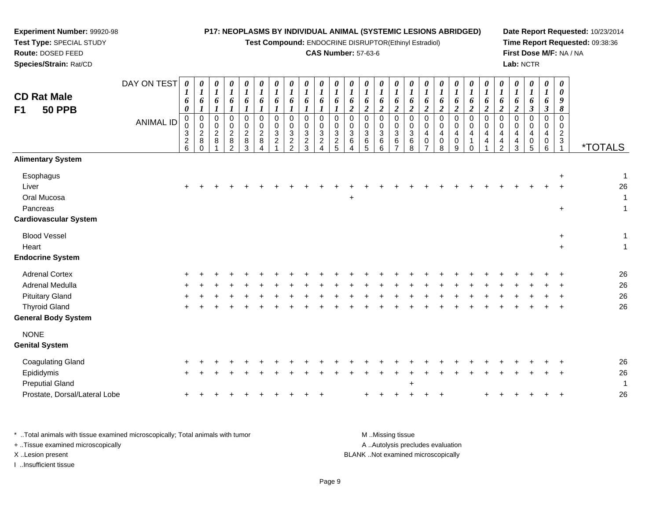**Test Compound:** ENDOCRINE DISRUPTOR(Ethinyl Estradiol)

*0 1*

*6*

*0 1*

*6*

*1 6*

0<br>0<br>4<br>4<br>2

1

0<br>0<br>1<br>0<br>0

**Date Report Requested:** 10/23/2014**Time Report Requested:** 09:38:36**First Dose M/F:** NA / NA**Lab:** NCTR

\*TOTALS

| DAY ON TEST<br>$\boldsymbol{\theta}$<br>0<br>0<br>0<br>0<br>0<br>0<br>0<br>$\theta$<br>0<br>0<br>0<br>$\boldsymbol{\theta}$<br>-1<br>×<br>п.<br>1<br>٠<br><b>CD Rat Male</b><br>6<br>6<br>6<br>6<br>6<br>6<br>6<br>6<br>6<br>Đ<br>o<br>o<br>O.<br>∍<br>0<br>ി<br><b>50 PPB</b><br>F <sub>1</sub><br>∠<br>0<br>0<br>$\Omega$<br>0<br>0<br>0<br>0<br>$\Omega$<br>0<br>0<br>0<br>$\Omega$<br><b>ANIMAL ID</b><br>0<br>0<br>0<br>0<br>0<br>0<br>0<br>0<br>0<br>0<br>0<br>0<br>U<br>3<br>3<br>$\overline{c}$<br>3<br>$\overline{2}$<br>3<br>$\overline{c}$<br>$\overline{2}$<br>3<br>3<br>2<br>3<br>3<br>8<br>$\overline{c}$<br>$\overline{c}$<br>2<br>$\overline{2}$<br>8<br>8<br>6<br>8<br>8<br>$\overline{2}$<br>2<br>6 | <b>Route: DOSED FEED</b><br>Species/Strain: Rat/CD |  |  |  |  |  |  | <b>CAS Number: 57-63-6</b> |                       |                    |                       |                                                |
|-----------------------------------------------------------------------------------------------------------------------------------------------------------------------------------------------------------------------------------------------------------------------------------------------------------------------------------------------------------------------------------------------------------------------------------------------------------------------------------------------------------------------------------------------------------------------------------------------------------------------------------------------------------------------------------------------------------------------|----------------------------------------------------|--|--|--|--|--|--|----------------------------|-----------------------|--------------------|-----------------------|------------------------------------------------|
|                                                                                                                                                                                                                                                                                                                                                                                                                                                                                                                                                                                                                                                                                                                       |                                                    |  |  |  |  |  |  |                            | 0<br>1<br>6<br>2      | $\theta$<br>6<br>∠ | 0<br>o<br>2           | $\boldsymbol{\theta}$<br>6<br>$\boldsymbol{2}$ |
| 5<br>5<br>3<br>6<br>0<br>3<br>2<br>⌒<br>4<br>4<br>4                                                                                                                                                                                                                                                                                                                                                                                                                                                                                                                                                                                                                                                                   |                                                    |  |  |  |  |  |  |                            | 0<br>0<br>3<br>6<br>6 | 0<br>0<br>3<br>6   | 0<br>0<br>3<br>6<br>8 | $\overline{0}$<br>0<br>4<br>$\mathbf 0$<br>7   |

**Experiment Number:** 99920-98**Test Type:** SPECIAL STUDY

| Esophagus                     |       |  |  |  |  |  |           |     |  |           |        |  |           |  |       | $\ddot{}$      | $\overline{1}$ |  |
|-------------------------------|-------|--|--|--|--|--|-----------|-----|--|-----------|--------|--|-----------|--|-------|----------------|----------------|--|
| Liver                         | $+$   |  |  |  |  |  |           |     |  |           |        |  |           |  | $\pm$ | $\pm$          | 26             |  |
| Oral Mucosa                   |       |  |  |  |  |  | $\ddot{}$ |     |  |           |        |  |           |  |       |                | $\overline{1}$ |  |
| Pancreas                      |       |  |  |  |  |  |           |     |  |           |        |  |           |  |       | $\ddot{}$      | -1             |  |
| <b>Cardiovascular System</b>  |       |  |  |  |  |  |           |     |  |           |        |  |           |  |       |                |                |  |
| <b>Blood Vessel</b>           |       |  |  |  |  |  |           |     |  |           |        |  |           |  |       | $\ddot{}$      | 1              |  |
| Heart                         |       |  |  |  |  |  |           |     |  |           |        |  |           |  |       | $\ddot{}$      | 1              |  |
| <b>Endocrine System</b>       |       |  |  |  |  |  |           |     |  |           |        |  |           |  |       |                |                |  |
| <b>Adrenal Cortex</b>         |       |  |  |  |  |  |           |     |  |           |        |  |           |  |       |                | 26             |  |
| Adrenal Medulla               | $+$   |  |  |  |  |  |           |     |  |           |        |  |           |  |       | $\overline{+}$ | 26             |  |
| <b>Pituitary Gland</b>        |       |  |  |  |  |  |           |     |  |           |        |  |           |  |       |                | 26             |  |
| <b>Thyroid Gland</b>          | $\pm$ |  |  |  |  |  |           |     |  |           |        |  |           |  |       | $\pm$          | 26             |  |
| <b>General Body System</b>    |       |  |  |  |  |  |           |     |  |           |        |  |           |  |       |                |                |  |
| <b>NONE</b>                   |       |  |  |  |  |  |           |     |  |           |        |  |           |  |       |                |                |  |
| <b>Genital System</b>         |       |  |  |  |  |  |           |     |  |           |        |  |           |  |       |                |                |  |
| <b>Coagulating Gland</b>      | $^+$  |  |  |  |  |  |           |     |  |           |        |  |           |  |       |                | 26             |  |
| Epididymis                    | $+$   |  |  |  |  |  |           |     |  |           |        |  |           |  | $+$   | $\ddot{}$      | 26             |  |
| <b>Preputial Gland</b>        |       |  |  |  |  |  |           |     |  | $\ddot{}$ |        |  |           |  |       |                | $\mathbf 1$    |  |
| Prostate, Dorsal/Lateral Lobe | +     |  |  |  |  |  |           | $+$ |  |           | $\div$ |  | $\ddot{}$ |  |       | $\overline{+}$ | 26             |  |
|                               |       |  |  |  |  |  |           |     |  |           |        |  |           |  |       |                |                |  |

\* ..Total animals with tissue examined microscopically; Total animals with tumor **M** ...Missing tissue M ...Missing tissue A ..Autolysis precludes evaluation + ..Tissue examined microscopically X ..Lesion present BLANK ..Not examined microscopicallyI ..Insufficient tissue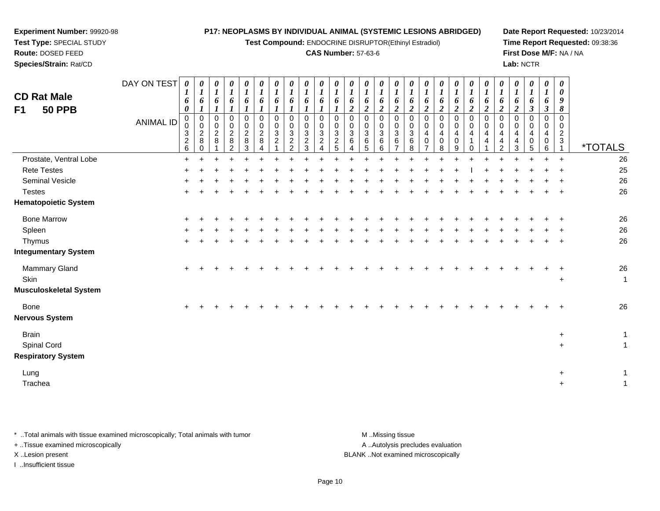**Test Compound:** ENDOCRINE DISRUPTOR(Ethinyl Estradiol)

#### **CAS Number:** 57-63-6

**Date Report Requested:** 10/23/2014**Time Report Requested:** 09:38:36**First Dose M/F:** NA / NA**Lab:** NCTR

 $+$  1

 $+$  1

| <b>CD Rat Male</b><br><b>50 PPB</b><br>F <sub>1</sub>    | DAY ON TEST<br><b>ANIMAL ID</b> | $\boldsymbol{\theta}$<br>6<br>$\boldsymbol{\theta}$<br>0<br>0<br>3<br>$\overline{c}$<br>6 | 0<br>6<br>0<br>$\pmb{0}$<br>$\overline{c}$<br>8 | 0<br>$\boldsymbol{l}$<br>6<br>$\mathbf 0$<br>$\pmb{0}$<br>$\overline{2}$<br>8 | $\boldsymbol{\theta}$<br>$\boldsymbol{l}$<br>6<br>$\mathbf 0$<br>0<br>$\overline{c}$<br>8<br>2 | $\boldsymbol{\theta}$<br>$\boldsymbol{l}$<br>6<br>$\mathbf 0$<br>0<br>$\overline{2}$<br>8<br>3 | 0<br>6<br>0<br>0<br>$\overline{2}$<br>8 | 0<br>$\boldsymbol{l}$<br>6<br>0<br>0<br>3<br>$\overline{c}$ | 0<br>$\boldsymbol{l}$<br>6<br>0<br>$\pmb{0}$<br>3<br>$\overline{c}$<br>$\mathfrak{p}$ | 0<br>$\boldsymbol{l}$<br>6<br>$\mathbf 0$<br>$\,0\,$<br>3<br>$\overline{c}$<br>3 | $\boldsymbol{\theta}$<br>$\boldsymbol{l}$<br>6<br>$\mathbf 0$<br>0<br>$\sqrt{3}$<br>$\overline{2}$ | 0<br>$\boldsymbol{l}$<br>6<br>$\mathbf 0$<br>0<br>3<br>$\overline{c}$ | 0<br>6<br>$\overline{2}$<br>0<br>0<br>3<br>6 | 0<br>6<br>$\overline{c}$<br>0<br>$\pmb{0}$<br>$\sqrt{3}$<br>6<br>5 | $\pmb{\theta}$<br>$\boldsymbol{l}$<br>6<br>$\boldsymbol{2}$<br>$\mathbf 0$<br>$\pmb{0}$<br>$\mathbf{3}$<br>6<br>6 | 0<br>6<br>2<br>$\Omega$<br>0<br>3<br>6 | $\pmb{\theta}$<br>$\boldsymbol{l}$<br>6<br>$\overline{2}$<br>0<br>0<br>3<br>6<br>8 | 0<br>$\boldsymbol{l}$<br>6<br>2<br>$\mathbf 0$<br>$\mathbf 0$<br>4<br>$\Omega$ | 0<br>6<br>$\mathbf{\hat{z}}$<br>0<br>0<br>4<br>0<br>8 | 0<br>$\boldsymbol{l}$<br>6<br>$\boldsymbol{2}$<br>0<br>$\pmb{0}$<br>$\overline{\mathbf{4}}$<br>$\mathbf 0$<br>9 | $\boldsymbol{\theta}$<br>6<br><u>ำ</u><br>$\mathbf 0$<br>$\mathbf 0$<br>4<br>$\Omega$ | 0<br>6<br>$\overline{c}$<br>0<br>0<br>4<br>4 | 0<br>6<br>$\mathbf 0$<br>0<br>4<br>2 | 0<br>6<br>$\mathbf{\hat{z}}$<br>0<br>$\mathbf 0$<br>4<br>4<br>3 | 0<br>$\boldsymbol{l}$<br>6<br>$\mathfrak{z}$<br>0<br>0<br>$\overline{4}$<br>0<br>5 | 0<br>$\boldsymbol{l}$<br>6<br>$\boldsymbol{\beta}$<br>$\mathbf 0$<br>0<br>4<br>0<br>6 | 0<br>$\boldsymbol{\theta}$<br>9<br>8<br>0<br>0<br>$\overline{2}$<br>3 | <i><b>*TOTALS</b></i> |
|----------------------------------------------------------|---------------------------------|-------------------------------------------------------------------------------------------|-------------------------------------------------|-------------------------------------------------------------------------------|------------------------------------------------------------------------------------------------|------------------------------------------------------------------------------------------------|-----------------------------------------|-------------------------------------------------------------|---------------------------------------------------------------------------------------|----------------------------------------------------------------------------------|----------------------------------------------------------------------------------------------------|-----------------------------------------------------------------------|----------------------------------------------|--------------------------------------------------------------------|-------------------------------------------------------------------------------------------------------------------|----------------------------------------|------------------------------------------------------------------------------------|--------------------------------------------------------------------------------|-------------------------------------------------------|-----------------------------------------------------------------------------------------------------------------|---------------------------------------------------------------------------------------|----------------------------------------------|--------------------------------------|-----------------------------------------------------------------|------------------------------------------------------------------------------------|---------------------------------------------------------------------------------------|-----------------------------------------------------------------------|-----------------------|
| Prostate, Ventral Lobe                                   |                                 | $+$                                                                                       |                                                 |                                                                               |                                                                                                |                                                                                                |                                         |                                                             |                                                                                       |                                                                                  |                                                                                                    |                                                                       |                                              |                                                                    |                                                                                                                   |                                        |                                                                                    |                                                                                |                                                       |                                                                                                                 |                                                                                       |                                              |                                      |                                                                 | $\ddot{}$                                                                          | $+$                                                                                   | $+$                                                                   | 26                    |
| <b>Rete Testes</b>                                       |                                 |                                                                                           |                                                 |                                                                               |                                                                                                |                                                                                                |                                         |                                                             |                                                                                       |                                                                                  |                                                                                                    |                                                                       |                                              |                                                                    |                                                                                                                   |                                        |                                                                                    |                                                                                |                                                       |                                                                                                                 |                                                                                       |                                              |                                      |                                                                 |                                                                                    |                                                                                       |                                                                       | 25                    |
| Seminal Vesicle                                          |                                 |                                                                                           |                                                 |                                                                               |                                                                                                |                                                                                                |                                         |                                                             |                                                                                       |                                                                                  |                                                                                                    |                                                                       |                                              |                                                                    |                                                                                                                   |                                        |                                                                                    |                                                                                |                                                       |                                                                                                                 |                                                                                       |                                              |                                      |                                                                 |                                                                                    |                                                                                       |                                                                       | 26                    |
| <b>Testes</b>                                            |                                 |                                                                                           |                                                 |                                                                               |                                                                                                |                                                                                                |                                         |                                                             |                                                                                       |                                                                                  |                                                                                                    |                                                                       |                                              |                                                                    |                                                                                                                   |                                        |                                                                                    |                                                                                |                                                       |                                                                                                                 |                                                                                       |                                              |                                      |                                                                 |                                                                                    |                                                                                       | $\overline{+}$                                                        | 26                    |
| <b>Hematopoietic System</b>                              |                                 |                                                                                           |                                                 |                                                                               |                                                                                                |                                                                                                |                                         |                                                             |                                                                                       |                                                                                  |                                                                                                    |                                                                       |                                              |                                                                    |                                                                                                                   |                                        |                                                                                    |                                                                                |                                                       |                                                                                                                 |                                                                                       |                                              |                                      |                                                                 |                                                                                    |                                                                                       |                                                                       |                       |
| <b>Bone Marrow</b>                                       |                                 |                                                                                           |                                                 |                                                                               |                                                                                                |                                                                                                |                                         |                                                             |                                                                                       |                                                                                  |                                                                                                    |                                                                       |                                              |                                                                    |                                                                                                                   |                                        |                                                                                    |                                                                                |                                                       |                                                                                                                 |                                                                                       |                                              |                                      |                                                                 |                                                                                    |                                                                                       |                                                                       | 26                    |
| Spleen                                                   |                                 |                                                                                           |                                                 |                                                                               |                                                                                                |                                                                                                |                                         |                                                             |                                                                                       |                                                                                  |                                                                                                    |                                                                       |                                              |                                                                    |                                                                                                                   |                                        |                                                                                    |                                                                                |                                                       |                                                                                                                 |                                                                                       |                                              |                                      |                                                                 |                                                                                    |                                                                                       |                                                                       | 26                    |
| Thymus                                                   |                                 |                                                                                           |                                                 |                                                                               |                                                                                                |                                                                                                |                                         |                                                             |                                                                                       |                                                                                  |                                                                                                    |                                                                       |                                              |                                                                    |                                                                                                                   |                                        |                                                                                    |                                                                                |                                                       |                                                                                                                 |                                                                                       |                                              |                                      |                                                                 |                                                                                    |                                                                                       | $\ddot{}$                                                             | 26                    |
| <b>Integumentary System</b>                              |                                 |                                                                                           |                                                 |                                                                               |                                                                                                |                                                                                                |                                         |                                                             |                                                                                       |                                                                                  |                                                                                                    |                                                                       |                                              |                                                                    |                                                                                                                   |                                        |                                                                                    |                                                                                |                                                       |                                                                                                                 |                                                                                       |                                              |                                      |                                                                 |                                                                                    |                                                                                       |                                                                       |                       |
| Mammary Gland<br>Skin<br><b>Musculoskeletal System</b>   |                                 |                                                                                           |                                                 |                                                                               |                                                                                                |                                                                                                |                                         |                                                             |                                                                                       |                                                                                  |                                                                                                    |                                                                       |                                              |                                                                    |                                                                                                                   |                                        |                                                                                    |                                                                                |                                                       |                                                                                                                 |                                                                                       |                                              |                                      |                                                                 |                                                                                    |                                                                                       | $\ddot{}$                                                             | 26<br>$\mathbf{1}$    |
| <b>Bone</b><br><b>Nervous System</b>                     |                                 |                                                                                           |                                                 |                                                                               |                                                                                                |                                                                                                |                                         |                                                             |                                                                                       |                                                                                  |                                                                                                    |                                                                       |                                              |                                                                    |                                                                                                                   |                                        |                                                                                    |                                                                                |                                                       |                                                                                                                 |                                                                                       |                                              |                                      |                                                                 |                                                                                    |                                                                                       |                                                                       | 26                    |
| <b>Brain</b><br>Spinal Cord<br><b>Respiratory System</b> |                                 |                                                                                           |                                                 |                                                                               |                                                                                                |                                                                                                |                                         |                                                             |                                                                                       |                                                                                  |                                                                                                    |                                                                       |                                              |                                                                    |                                                                                                                   |                                        |                                                                                    |                                                                                |                                                       |                                                                                                                 |                                                                                       |                                              |                                      |                                                                 |                                                                                    |                                                                                       | $\ddot{}$<br>$\ddot{}$                                                | $\mathbf{1}$          |

Lung<sup>+</sup>

**Experiment Number:** 99920-98**Test Type:** SPECIAL STUDY**Route:** DOSED FEED**Species/Strain:** Rat/CD

Tracheaa a contract the contract of the contract of the contract of the contract of the contract of the contract of the contract of the contract of the contract of the contract of the contract of the contract of the contract of t

\* ..Total animals with tissue examined microscopically; Total animals with tumor **M** ...Missing tissue M ...Missing tissue A ..Autolysis precludes evaluation + ..Tissue examined microscopically X ..Lesion present BLANK ..Not examined microscopicallyI ..Insufficient tissue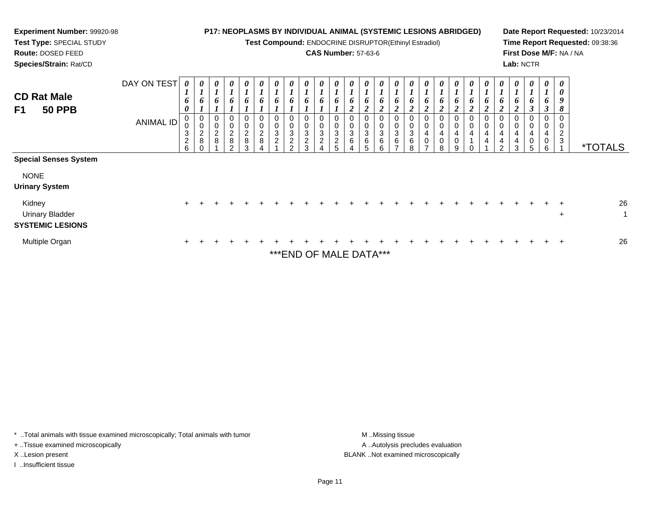| Experiment Number: 99920-98<br>Test Type: SPECIAL STUDY<br>Route: DOSED FEED<br>Species/Strain: Rat/CD                              |                                 |                                                                                 |                                   |                                   |                                                                                         |                                                            |                            |                         |                                                              |                                                  |                                                    |                                                      |             | P17: NEOPLASMS BY INDIVIDUAL ANIMAL (SYSTEMIC LESIONS ABRIDGED)<br>Test Compound: ENDOCRINE DISRUPTOR(Ethinyl Estradiol)<br><b>CAS Number: 57-63-6</b> |                                                                 |                                                       |                                                |        |                                            |             |                            |                                                | Lab: NCTR   |                            |                                            | Date Report Requested: 10/23/2014<br>Time Report Requested: 09:38:36<br>First Dose M/F: NA / NA |
|-------------------------------------------------------------------------------------------------------------------------------------|---------------------------------|---------------------------------------------------------------------------------|-----------------------------------|-----------------------------------|-----------------------------------------------------------------------------------------|------------------------------------------------------------|----------------------------|-------------------------|--------------------------------------------------------------|--------------------------------------------------|----------------------------------------------------|------------------------------------------------------|-------------|--------------------------------------------------------------------------------------------------------------------------------------------------------|-----------------------------------------------------------------|-------------------------------------------------------|------------------------------------------------|--------|--------------------------------------------|-------------|----------------------------|------------------------------------------------|-------------|----------------------------|--------------------------------------------|-------------------------------------------------------------------------------------------------|
| <b>CD Rat Male</b><br><b>50 PPB</b><br>F1                                                                                           | DAY ON TEST<br><b>ANIMAL ID</b> | $\boldsymbol{\theta}$<br>6<br>$\boldsymbol{\theta}$<br>3<br>$\overline{c}$<br>6 | 0<br>6<br>0<br>0<br>$\frac{2}{8}$ | 0<br>6<br>0<br>0<br>$\frac{2}{8}$ | 0<br>$\boldsymbol{l}$<br>6<br>$\pmb{0}$<br>$\pmb{0}$<br>$\frac{2}{8}$<br>$\mathfrak{D}$ | 0<br>6<br>$\mathbf 0$<br>$\overline{\mathbf{c}}$<br>8<br>3 | 6<br>$\boldsymbol{2}$<br>8 | 6<br>$\Omega$<br>0<br>3 | 0<br>6<br>0<br>3<br>$\overline{\mathbf{c}}$<br>$\mathcal{D}$ | 0<br>6<br>0<br>3<br>$\overline{\mathbf{c}}$<br>વ | 6<br>$\mathbf 0$<br>$\mathbf{3}$<br>$\overline{c}$ | $\Omega$<br>0<br>$\mathbf{3}$<br>$\overline{c}$<br>5 | o<br>3<br>6 | 0<br>0<br>3<br>6                                                                                                                                       | $\boldsymbol{\theta}$<br>6<br>0<br>$\mathbf{3}$<br>$\,6\,$<br>6 | 6<br>$\pmb{0}$<br>$\mathbf{3}$<br>6<br>$\overline{ }$ | $\boldsymbol{\theta}$<br>6<br>0<br>3<br>6<br>8 | 6<br>8 | 0<br>6<br>0<br>0<br>4<br>0<br>$\mathbf{Q}$ | 0<br>6<br>0 | 0<br>6<br>0<br>0<br>4<br>4 | $\overline{2}$<br>0<br>0<br>4<br>$\mathcal{D}$ | 4<br>4<br>3 | 6<br>3<br>0<br>4<br>0<br>6 | 0<br>0<br>9<br>8<br>0<br>2<br>$\mathbf{3}$ | <i><b>*TOTALS</b></i>                                                                           |
| <b>Special Senses System</b><br><b>NONE</b><br><b>Urinary System</b><br>Kidney<br><b>Urinary Bladder</b><br><b>SYSTEMIC LESIONS</b> |                                 | $+$                                                                             |                                   |                                   |                                                                                         |                                                            |                            |                         |                                                              |                                                  |                                                    |                                                      |             |                                                                                                                                                        |                                                                 |                                                       |                                                |        |                                            |             |                            |                                                |             |                            | $\div$                                     | 26                                                                                              |
| <b>Multiple Organ</b>                                                                                                               |                                 |                                                                                 |                                   |                                   |                                                                                         |                                                            |                            |                         |                                                              |                                                  |                                                    |                                                      |             |                                                                                                                                                        |                                                                 |                                                       |                                                |        |                                            |             |                            |                                                |             |                            |                                            | 26                                                                                              |

\*\*\*END OF MALE DATA\*\*\*

\* ..Total animals with tissue examined microscopically; Total animals with tumor M..Missing tissue M ..Missing tissue

+ ..Tissue examined microscopically

I ..Insufficient tissue

A ..Autolysis precludes evaluation X ..Lesion present BLANK ..Not examined microscopically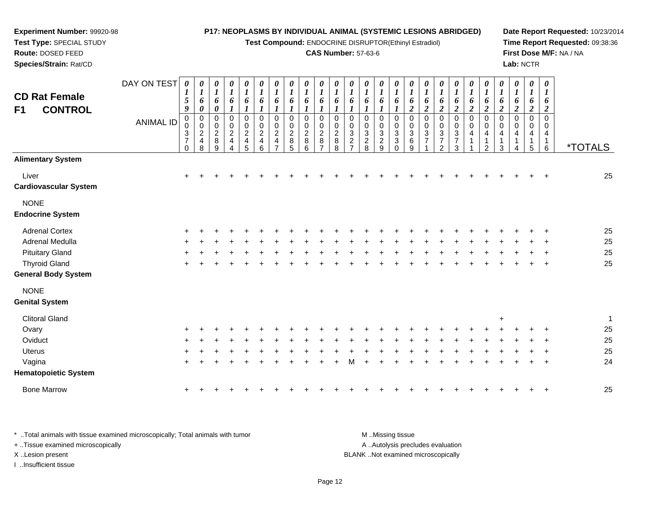**Test Compound:** ENDOCRINE DISRUPTOR(Ethinyl Estradiol)

#### **CAS Number:** 57-63-6

**Date Report Requested:** 10/23/2014**Time Report Requested:** 09:38:36**First Dose M/F:** NA / NA**Lab:** NCTR

| <b>CD Rat Female</b>                   | DAY ON TEST      | 0<br>1<br>5                                                                         | U<br>$\boldsymbol{l}$<br>6                                                   | 0<br>$\boldsymbol{l}$<br>6                      | 0<br>$\boldsymbol{l}$<br>6                                        | 0<br>$\boldsymbol{l}$<br>6                                     | 0<br>$\boldsymbol{l}$<br>6                                                                   | 0<br>$\boldsymbol{l}$<br>6                                                      | 0<br>$\boldsymbol{l}$<br>6                   | 0<br>$\boldsymbol{l}$<br>6                   | $\boldsymbol{l}$<br>6                                       | 0<br>6                                               | 0<br>6                                         | 0<br>6                                | 0<br>$\boldsymbol{l}$<br>6                                                         | $\boldsymbol{\theta}$<br>6                                           | 0<br>$\boldsymbol{l}$<br>6                                                      | 0<br>$\boldsymbol{l}$<br>6                                                          | 0<br>$\boldsymbol{l}$<br>6                                                                            | 0<br>6                                                                    | 0<br>$\boldsymbol{l}$<br>6                                    | 0<br>6                                         | 0<br>$\boldsymbol{l}$<br>6                      | 0<br>$\boldsymbol{l}$<br>6                                                            | 0<br>$\boldsymbol{l}$<br>6                                       | 0<br>1<br>6                                    |                       |
|----------------------------------------|------------------|-------------------------------------------------------------------------------------|------------------------------------------------------------------------------|-------------------------------------------------|-------------------------------------------------------------------|----------------------------------------------------------------|----------------------------------------------------------------------------------------------|---------------------------------------------------------------------------------|----------------------------------------------|----------------------------------------------|-------------------------------------------------------------|------------------------------------------------------|------------------------------------------------|---------------------------------------|------------------------------------------------------------------------------------|----------------------------------------------------------------------|---------------------------------------------------------------------------------|-------------------------------------------------------------------------------------|-------------------------------------------------------------------------------------------------------|---------------------------------------------------------------------------|---------------------------------------------------------------|------------------------------------------------|-------------------------------------------------|---------------------------------------------------------------------------------------|------------------------------------------------------------------|------------------------------------------------|-----------------------|
| <b>CONTROL</b><br>F1                   | <b>ANIMAL ID</b> | 9<br>$\pmb{0}$<br>0<br>$\ensuremath{\mathsf{3}}$<br>$\boldsymbol{7}$<br>$\mathbf 0$ | $\boldsymbol{\theta}$<br>$\pmb{0}$<br>0<br>$\sqrt{2}$<br>$\overline{4}$<br>8 | 0<br>$\pmb{0}$<br>0<br>$\overline{c}$<br>8<br>9 | 0<br>0<br>$\overline{\mathbf{c}}$<br>$\overline{\mathbf{4}}$<br>4 | 0<br>$\mathbf 0$<br>$\sqrt{2}$<br>$\overline{\mathbf{4}}$<br>5 | $\boldsymbol{l}$<br>$\mathbf 0$<br>$\mathbf 0$<br>$\sqrt{2}$<br>$\overline{\mathbf{4}}$<br>6 | $\pmb{0}$<br>0<br>$\boldsymbol{2}$<br>$\overline{\mathbf{4}}$<br>$\overline{ }$ | $\mathbf 0$<br>0<br>$\overline{c}$<br>8<br>5 | $\mathbf 0$<br>0<br>$\overline{c}$<br>8<br>6 | $\mathbf 0$<br>0<br>$\boldsymbol{2}$<br>8<br>$\overline{7}$ | $\mathbf 0$<br>0<br>$\boldsymbol{2}$<br>$\bf 8$<br>8 | $\Omega$<br>0<br>$\mathbf{3}$<br>$\frac{2}{7}$ | 0<br>0<br>$\sqrt{3}$<br>$\frac{2}{8}$ | $\Omega$<br>0<br>$\ensuremath{\mathsf{3}}$<br>$\boldsymbol{2}$<br>$\boldsymbol{9}$ | $\Omega$<br>0<br>$\ensuremath{\mathsf{3}}$<br>$\sqrt{3}$<br>$\Omega$ | $\boldsymbol{2}$<br>$\mathbf 0$<br>0<br>$\ensuremath{\mathsf{3}}$<br>$\,6$<br>9 | $\boldsymbol{2}$<br>$\mathbf 0$<br>0<br>$\ensuremath{\mathsf{3}}$<br>$\overline{7}$ | $\boldsymbol{2}$<br>$\pmb{0}$<br>0<br>$\ensuremath{\mathsf{3}}$<br>$\boldsymbol{7}$<br>$\overline{2}$ | $\boldsymbol{2}$<br>$\mathbf 0$<br>0<br>$\sqrt{3}$<br>$\overline{7}$<br>3 | $\boldsymbol{2}$<br>$\pmb{0}$<br>0<br>$\overline{\mathbf{4}}$ | $\overline{2}$<br>$\Omega$<br>0<br>4<br>1<br>2 | $\overline{c}$<br>0<br>0<br>$\overline{4}$<br>3 | $\boldsymbol{2}$<br>$\mathbf 0$<br>$\mathbf 0$<br>$\overline{4}$<br>$\mathbf{1}$<br>4 | $\boldsymbol{2}$<br>$\mathbf 0$<br>0<br>$\overline{4}$<br>1<br>5 | $\overline{2}$<br>$\Omega$<br>0<br>4<br>1<br>6 | <i><b>*TOTALS</b></i> |
| <b>Alimentary System</b>               |                  |                                                                                     |                                                                              |                                                 |                                                                   |                                                                |                                                                                              |                                                                                 |                                              |                                              |                                                             |                                                      |                                                |                                       |                                                                                    |                                                                      |                                                                                 |                                                                                     |                                                                                                       |                                                                           |                                                               |                                                |                                                 |                                                                                       |                                                                  |                                                |                       |
| Liver<br><b>Cardiovascular System</b>  |                  | $+$                                                                                 |                                                                              |                                                 |                                                                   |                                                                |                                                                                              |                                                                                 |                                              |                                              |                                                             |                                                      |                                                |                                       |                                                                                    |                                                                      |                                                                                 |                                                                                     |                                                                                                       |                                                                           |                                                               |                                                |                                                 |                                                                                       |                                                                  |                                                | 25                    |
| <b>NONE</b><br><b>Endocrine System</b> |                  |                                                                                     |                                                                              |                                                 |                                                                   |                                                                |                                                                                              |                                                                                 |                                              |                                              |                                                             |                                                      |                                                |                                       |                                                                                    |                                                                      |                                                                                 |                                                                                     |                                                                                                       |                                                                           |                                                               |                                                |                                                 |                                                                                       |                                                                  |                                                |                       |
| <b>Adrenal Cortex</b>                  |                  |                                                                                     |                                                                              |                                                 |                                                                   |                                                                |                                                                                              |                                                                                 |                                              |                                              |                                                             |                                                      |                                                |                                       |                                                                                    |                                                                      |                                                                                 |                                                                                     |                                                                                                       |                                                                           |                                                               |                                                |                                                 |                                                                                       |                                                                  |                                                | 25                    |
| Adrenal Medulla                        |                  |                                                                                     |                                                                              |                                                 |                                                                   |                                                                |                                                                                              |                                                                                 |                                              |                                              |                                                             |                                                      |                                                |                                       |                                                                                    |                                                                      |                                                                                 |                                                                                     |                                                                                                       |                                                                           |                                                               |                                                |                                                 |                                                                                       |                                                                  |                                                | 25                    |
| <b>Pituitary Gland</b>                 |                  |                                                                                     |                                                                              |                                                 |                                                                   |                                                                |                                                                                              |                                                                                 |                                              |                                              |                                                             |                                                      |                                                |                                       |                                                                                    |                                                                      |                                                                                 |                                                                                     |                                                                                                       |                                                                           |                                                               |                                                |                                                 |                                                                                       |                                                                  |                                                | 25                    |
| <b>Thyroid Gland</b>                   |                  | ÷                                                                                   |                                                                              |                                                 |                                                                   |                                                                |                                                                                              |                                                                                 |                                              |                                              |                                                             |                                                      |                                                |                                       |                                                                                    |                                                                      |                                                                                 |                                                                                     |                                                                                                       |                                                                           |                                                               |                                                |                                                 |                                                                                       |                                                                  | $\mathbf +$                                    | 25                    |
| General Body System                    |                  |                                                                                     |                                                                              |                                                 |                                                                   |                                                                |                                                                                              |                                                                                 |                                              |                                              |                                                             |                                                      |                                                |                                       |                                                                                    |                                                                      |                                                                                 |                                                                                     |                                                                                                       |                                                                           |                                                               |                                                |                                                 |                                                                                       |                                                                  |                                                |                       |
| <b>NONE</b><br><b>Genital System</b>   |                  |                                                                                     |                                                                              |                                                 |                                                                   |                                                                |                                                                                              |                                                                                 |                                              |                                              |                                                             |                                                      |                                                |                                       |                                                                                    |                                                                      |                                                                                 |                                                                                     |                                                                                                       |                                                                           |                                                               |                                                |                                                 |                                                                                       |                                                                  |                                                |                       |
| <b>Clitoral Gland</b>                  |                  |                                                                                     |                                                                              |                                                 |                                                                   |                                                                |                                                                                              |                                                                                 |                                              |                                              |                                                             |                                                      |                                                |                                       |                                                                                    |                                                                      |                                                                                 |                                                                                     |                                                                                                       |                                                                           |                                                               |                                                |                                                 |                                                                                       |                                                                  |                                                | 1                     |
| Ovary                                  |                  | $\ddot{}$                                                                           |                                                                              |                                                 |                                                                   |                                                                |                                                                                              |                                                                                 |                                              |                                              |                                                             |                                                      |                                                |                                       |                                                                                    |                                                                      |                                                                                 |                                                                                     |                                                                                                       |                                                                           |                                                               |                                                | $\ddot{}$                                       |                                                                                       |                                                                  |                                                | 25                    |
| Oviduct                                |                  |                                                                                     |                                                                              |                                                 |                                                                   |                                                                |                                                                                              |                                                                                 |                                              |                                              |                                                             |                                                      |                                                |                                       |                                                                                    |                                                                      |                                                                                 |                                                                                     |                                                                                                       |                                                                           |                                                               |                                                |                                                 |                                                                                       |                                                                  |                                                | 25                    |
| <b>Uterus</b>                          |                  |                                                                                     |                                                                              |                                                 |                                                                   |                                                                |                                                                                              |                                                                                 |                                              |                                              |                                                             |                                                      |                                                |                                       |                                                                                    |                                                                      |                                                                                 |                                                                                     |                                                                                                       |                                                                           |                                                               |                                                |                                                 |                                                                                       |                                                                  |                                                | 25                    |
| Vagina                                 |                  | $\pm$                                                                               |                                                                              |                                                 |                                                                   |                                                                |                                                                                              |                                                                                 |                                              |                                              |                                                             |                                                      |                                                |                                       |                                                                                    |                                                                      |                                                                                 |                                                                                     |                                                                                                       |                                                                           |                                                               |                                                |                                                 |                                                                                       |                                                                  | ÷                                              | 24                    |
| <b>Hematopoietic System</b>            |                  |                                                                                     |                                                                              |                                                 |                                                                   |                                                                |                                                                                              |                                                                                 |                                              |                                              |                                                             |                                                      |                                                |                                       |                                                                                    |                                                                      |                                                                                 |                                                                                     |                                                                                                       |                                                                           |                                                               |                                                |                                                 |                                                                                       |                                                                  |                                                |                       |
|                                        |                  |                                                                                     |                                                                              |                                                 |                                                                   |                                                                |                                                                                              |                                                                                 |                                              |                                              |                                                             |                                                      |                                                |                                       |                                                                                    |                                                                      |                                                                                 |                                                                                     |                                                                                                       |                                                                           |                                                               |                                                |                                                 |                                                                                       |                                                                  |                                                |                       |

\* ..Total animals with tissue examined microscopically; Total animals with tumor **M** ...Missing tissue M ...Missing tissue A ..Autolysis precludes evaluation + ..Tissue examined microscopically X ..Lesion present BLANK ..Not examined microscopically

I ..Insufficient tissue

Bone Marrow

**Experiment Number:** 99920-98**Test Type:** SPECIAL STUDY**Route:** DOSED FEED**Species/Strain:** Rat/CD

Page 12

<sup>+</sup> <sup>+</sup> <sup>+</sup> <sup>+</sup> <sup>+</sup> <sup>+</sup> <sup>+</sup> <sup>+</sup> <sup>+</sup> <sup>+</sup> <sup>+</sup> <sup>+</sup> <sup>+</sup> <sup>+</sup> <sup>+</sup> <sup>+</sup> <sup>+</sup> <sup>+</sup> <sup>+</sup> <sup>+</sup> <sup>+</sup> <sup>+</sup> <sup>+</sup> <sup>+</sup> <sup>+</sup> <sup>25</sup>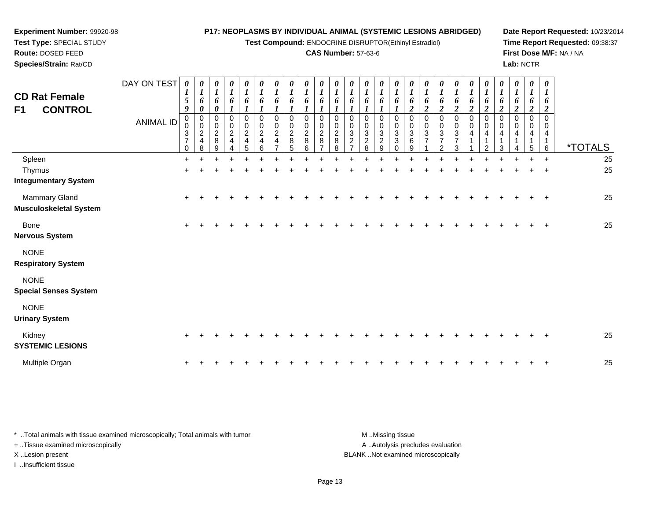**Test Compound:** ENDOCRINE DISRUPTOR(Ethinyl Estradiol)

#### **CAS Number:** 57-63-6

<sup>+</sup> <sup>+</sup> <sup>+</sup> <sup>+</sup> <sup>+</sup> <sup>+</sup> <sup>+</sup> <sup>+</sup> <sup>+</sup> <sup>+</sup> <sup>+</sup> <sup>+</sup> <sup>+</sup> <sup>+</sup> <sup>+</sup> <sup>+</sup> <sup>+</sup> <sup>+</sup> <sup>+</sup> <sup>+</sup> <sup>+</sup> <sup>+</sup> <sup>+</sup> <sup>+</sup> <sup>25</sup>

**Date Report Requested:** 10/23/2014**Time Report Requested:** 09:38:37**First Dose M/F:** NA / NA**Lab:** NCTR

| Route: DOSED FEED<br>Species/Strain: Rat/CD              |                          |                                                                        |                                                                                                     |                                                                            |                                                        |                                                                                    |                                                                                      |                                                                       |                                                                                               |                                                                |                                                                   |                                                            |                                                                                                | <b>CAS Number: 57-63-6</b>                                        |                                                                               |                                                                                   |                                                                     |                                                                       |                                 |                                  |                              |                              |                                             |                                                             | Lab: NCTR                                                                   |                                                                             | First Dose M/F: NA / NA |
|----------------------------------------------------------|--------------------------|------------------------------------------------------------------------|-----------------------------------------------------------------------------------------------------|----------------------------------------------------------------------------|--------------------------------------------------------|------------------------------------------------------------------------------------|--------------------------------------------------------------------------------------|-----------------------------------------------------------------------|-----------------------------------------------------------------------------------------------|----------------------------------------------------------------|-------------------------------------------------------------------|------------------------------------------------------------|------------------------------------------------------------------------------------------------|-------------------------------------------------------------------|-------------------------------------------------------------------------------|-----------------------------------------------------------------------------------|---------------------------------------------------------------------|-----------------------------------------------------------------------|---------------------------------|----------------------------------|------------------------------|------------------------------|---------------------------------------------|-------------------------------------------------------------|-----------------------------------------------------------------------------|-----------------------------------------------------------------------------|-------------------------|
| <b>CD Rat Female</b><br><b>CONTROL</b><br>F <sub>1</sub> | DAY ON TEST<br>ANIMAL ID | $\boldsymbol{l}$<br>$\sqrt{5}$<br>9<br>3<br>$\overline{z}$<br>$\Omega$ | $\boldsymbol{\theta}$<br>$\mathbf{I}$<br>6<br>$\boldsymbol{\theta}$<br>0<br>0<br>$\frac{2}{4}$<br>8 | 0<br>$\mathbf{I}$<br>6<br>0<br>0<br>$\boldsymbol{0}$<br>$\frac{2}{8}$<br>9 | $\boldsymbol{\theta}$<br>6<br>0<br>$\overline{c}$<br>4 | $\boldsymbol{\theta}$<br>$\mathbf{I}$<br>6<br>0<br>$\pmb{0}$<br>$\frac{2}{4}$<br>5 | $\boldsymbol{\theta}$<br>$\mathbf{I}$<br>6<br>0<br>$\mathsf 0$<br>$\frac{2}{4}$<br>R | $\boldsymbol{\theta}$<br>$\mathbf{I}$<br>6<br>0<br>0<br>$\frac{2}{4}$ | $\boldsymbol{\theta}$<br>$\boldsymbol{l}$<br>6<br>0<br>$\boldsymbol{0}$<br>$\frac{2}{8}$<br>5 | $\boldsymbol{\theta}$<br>6<br>0<br>$\Omega$<br>$\epsilon$<br>8 | $\boldsymbol{\theta}$<br>$\mathbf{I}$<br>6<br>$\overline{c}$<br>8 | $\boldsymbol{\theta}$<br>6<br>0<br>0<br>$\frac{2}{8}$<br>8 | $\boldsymbol{\theta}$<br>$\mathbf{I}$<br>6<br>0<br>$\ensuremath{\mathsf{3}}$<br>$\overline{2}$ | $\theta$<br>6<br>$\,0\,$<br>$\mathbf{3}$<br>$\boldsymbol{2}$<br>8 | $\theta$<br>$\mathbf{I}$<br>6<br>0<br>$_{3}^{\rm 0}$<br>$\boldsymbol{2}$<br>9 | $\boldsymbol{\mathit{U}}$<br>$\mathbf{I}$<br>6<br>0<br>$\sqrt{3}$<br>$\mathbf{3}$ | $\boldsymbol{\theta}$<br>$\mathbf{I}$<br>6<br>0<br>$_3^0$<br>6<br>9 | $\boldsymbol{\theta}$<br>6<br>$\boldsymbol{0}$<br>3<br>$\overline{ }$ | $\boldsymbol{\theta}$<br>o<br>3 | U<br>$\mathbf{I}$<br>3<br>⇁<br>◠ | $\theta$<br>6<br>0<br>0<br>4 | $\theta$<br>6<br>0<br>4<br>⌒ | $\theta$<br>$\bm{o}$<br>$\pmb{0}$<br>4<br>3 | $\theta$<br>$\mathbf{I}$<br>$\bm{o}$<br>0<br>$\pmb{0}$<br>4 | 0<br>$\boldsymbol{l}$<br>6<br>2<br>0<br>$\,0\,$<br>4<br>$\overline{A}$<br>5 | $\boldsymbol{\theta}$<br>1<br>6<br>$\overline{2}$<br>0<br>$\,0\,$<br>4<br>6 | <i><b>*TOTALS</b></i>   |
| Spleen                                                   |                          |                                                                        |                                                                                                     |                                                                            |                                                        |                                                                                    |                                                                                      |                                                                       |                                                                                               |                                                                |                                                                   |                                                            |                                                                                                |                                                                   |                                                                               |                                                                                   |                                                                     |                                                                       |                                 |                                  |                              |                              |                                             |                                                             |                                                                             | $\overline{+}$                                                              | 25                      |
| Thymus                                                   |                          |                                                                        |                                                                                                     |                                                                            |                                                        |                                                                                    |                                                                                      |                                                                       |                                                                                               |                                                                |                                                                   |                                                            |                                                                                                |                                                                   |                                                                               |                                                                                   |                                                                     |                                                                       |                                 |                                  |                              |                              |                                             |                                                             |                                                                             | $\pm$                                                                       | 25                      |
| <b>Integumentary System</b>                              |                          |                                                                        |                                                                                                     |                                                                            |                                                        |                                                                                    |                                                                                      |                                                                       |                                                                                               |                                                                |                                                                   |                                                            |                                                                                                |                                                                   |                                                                               |                                                                                   |                                                                     |                                                                       |                                 |                                  |                              |                              |                                             |                                                             |                                                                             |                                                                             |                         |
| <b>Mammary Gland</b><br><b>Musculoskeletal System</b>    |                          | $\pm$                                                                  |                                                                                                     |                                                                            |                                                        |                                                                                    |                                                                                      |                                                                       |                                                                                               |                                                                |                                                                   |                                                            |                                                                                                |                                                                   |                                                                               |                                                                                   |                                                                     |                                                                       |                                 |                                  |                              |                              |                                             |                                                             |                                                                             | $\div$                                                                      | 25                      |

| Bone |  | ÷ |
|------|--|---|
|      |  |   |

**Nervous System**

NONE

**Respiratory System**

NONE

**Special Senses System**

**Experiment Number:** 99920-98**Test Type:** SPECIAL STUDY

NONE

**Urinary System**

| ormary oyouchi             |  |  |  |  |  |  |  |  |  |  |  |  |  |    |
|----------------------------|--|--|--|--|--|--|--|--|--|--|--|--|--|----|
| Kidnev<br>SYSTEMIC LESIONS |  |  |  |  |  |  |  |  |  |  |  |  |  | 25 |
| Multiple Organ             |  |  |  |  |  |  |  |  |  |  |  |  |  | 25 |

| * Total animals with tissue examined microscopically; Total animals with tumor | M Missing tissue                   |
|--------------------------------------------------------------------------------|------------------------------------|
| + Tissue examined microscopically                                              | A Autolysis precludes evaluation   |
| X Lesion present                                                               | BLANK Not examined microscopically |
| Insufficient tissue                                                            |                                    |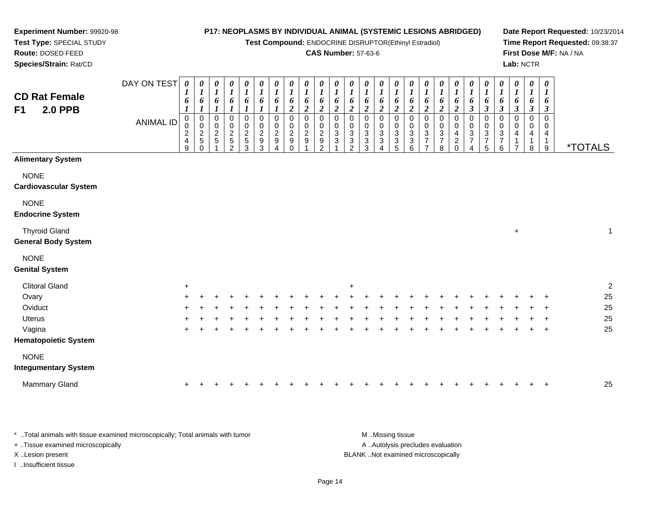**Test Compound:** ENDOCRINE DISRUPTOR(Ethinyl Estradiol)

### **CAS Number:** 57-63-6

**Date Report Requested:** 10/23/2014**Time Report Requested:** 09:38:37**First Dose M/F:** NA / NA**Lab:** NCTR

| <b>CD Rat Female</b><br><b>2.0 PPB</b><br>F <sub>1</sub> | DAY ON TEST<br><b>ANIMAL ID</b> | $\boldsymbol{\theta}$<br>$\boldsymbol{l}$<br>6<br>0<br>0<br>$\overline{\mathbf{c}}$<br>$\overline{\mathbf{4}}$<br>9 | 0<br>$\boldsymbol{l}$<br>6<br>1<br>0<br>$\mathbf 0$<br>$\frac{2}{5}$<br>$\Omega$ | 0<br>$\boldsymbol{l}$<br>6<br>1<br>$\mathbf 0$<br>0<br>$\frac{2}{5}$ | 0<br>$\boldsymbol{l}$<br>6<br>0<br>$\boldsymbol{0}$<br>$rac{2}{5}$<br>$\mathfrak{p}$ | 0<br>$\boldsymbol{l}$<br>6<br>1<br>$\pmb{0}$<br>$\boldsymbol{0}$<br>$\frac{2}{5}$<br>3 | $\pmb{\theta}$<br>$\boldsymbol{l}$<br>6<br>$\boldsymbol{l}$<br>$\mathbf 0$<br>$\mathbf 0$<br>$\boldsymbol{2}$<br>9<br>3 | 0<br>$\boldsymbol{l}$<br>6<br>$\mathbf 0$<br>$\pmb{0}$<br>$\overline{c}$<br>$\boldsymbol{9}$<br>4 | $\boldsymbol{\theta}$<br>$\boldsymbol{l}$<br>6<br>$\overline{2}$<br>$\mathbf 0$<br>0<br>$\overline{c}$<br>9<br>$\Omega$ | $\pmb{\theta}$<br>$\boldsymbol{l}$<br>6<br>$\boldsymbol{2}$<br>$\mathbf 0$<br>0<br>$\overline{c}$<br>$\boldsymbol{9}$ | $\boldsymbol{\theta}$<br>$\boldsymbol{I}$<br>6<br>$\boldsymbol{2}$<br>$\pmb{0}$<br>0<br>$\boldsymbol{2}$<br>$\boldsymbol{9}$<br>$\mathfrak{p}$ | 0<br>$\boldsymbol{l}$<br>6<br>$\boldsymbol{2}$<br>$\pmb{0}$<br>$\pmb{0}$<br>$\frac{3}{3}$ | $\boldsymbol{\theta}$<br>$\boldsymbol{l}$<br>6<br>$\overline{c}$<br>0<br>0<br>$\ensuremath{\mathsf{3}}$<br>$\sqrt{3}$<br>$\mathfrak{p}$ | 0<br>$\boldsymbol{l}$<br>6<br>$\overline{2}$<br>0<br>0<br>$\ensuremath{\mathsf{3}}$<br>$\ensuremath{\mathsf{3}}$<br>3 | 0<br>$\boldsymbol{l}$<br>6<br>$\boldsymbol{2}$<br>$\mathbf 0$<br>0<br>$\sqrt{3}$<br>$\ensuremath{\mathsf{3}}$<br>4 | 0<br>$\boldsymbol{l}$<br>6<br>$\overline{2}$<br>$\mathbf 0$<br>0<br>$\ensuremath{\mathsf{3}}$<br>3<br>5 | 0<br>$\boldsymbol{l}$<br>6<br>$\boldsymbol{2}$<br>0<br>0<br>3<br>$\ensuremath{\mathsf{3}}$<br>6 | 0<br>$\boldsymbol{l}$<br>6<br>$\boldsymbol{2}$<br>$\mathbf 0$<br>$\mathbf 0$<br>3<br>$\overline{7}$<br>$\overline{ }$ | $\boldsymbol{\theta}$<br>$\boldsymbol{l}$<br>6<br>$\boldsymbol{2}$<br>$\pmb{0}$<br>$\pmb{0}$<br>$\ensuremath{\mathsf{3}}$<br>$\boldsymbol{7}$<br>8 | 0<br>$\boldsymbol{l}$<br>6<br>$\overline{2}$<br>0<br>0<br>4<br>$\overline{a}$<br>$\Omega$ | 0<br>$\boldsymbol{l}$<br>6<br>$\boldsymbol{\beta}$<br>0<br>$\boldsymbol{0}$<br>$\sqrt{3}$<br>$\boldsymbol{7}$<br>$\overline{4}$ | 0<br>$\boldsymbol{l}$<br>$\pmb{6}$<br>$\mathfrak{z}$<br>$\pmb{0}$<br>$\mathbf 0$<br>$\sqrt{3}$<br>$\boldsymbol{7}$<br>$\overline{5}$ | 0<br>$\boldsymbol{l}$<br>6<br>$\mathfrak{z}$<br>0<br>0<br>$\ensuremath{\mathsf{3}}$<br>$\boldsymbol{7}$<br>$\,6$ | $\boldsymbol{\theta}$<br>$\boldsymbol{l}$<br>6<br>$\boldsymbol{\beta}$<br>0<br>0<br>4<br>1<br>$\overline{ }$ | 0<br>$\boldsymbol{l}$<br>6<br>$\mathfrak{z}$<br>0<br>0<br>4<br>$\mathbf{1}$<br>8 | $\boldsymbol{\theta}$<br>$\boldsymbol{l}$<br>6<br>$\boldsymbol{\beta}$<br>$\mathbf 0$<br>0<br>$\overline{4}$<br>$\mathbf{1}$<br>$\boldsymbol{9}$ | <i><b>*TOTALS</b></i> |
|----------------------------------------------------------|---------------------------------|---------------------------------------------------------------------------------------------------------------------|----------------------------------------------------------------------------------|----------------------------------------------------------------------|--------------------------------------------------------------------------------------|----------------------------------------------------------------------------------------|-------------------------------------------------------------------------------------------------------------------------|---------------------------------------------------------------------------------------------------|-------------------------------------------------------------------------------------------------------------------------|-----------------------------------------------------------------------------------------------------------------------|------------------------------------------------------------------------------------------------------------------------------------------------|-------------------------------------------------------------------------------------------|-----------------------------------------------------------------------------------------------------------------------------------------|-----------------------------------------------------------------------------------------------------------------------|--------------------------------------------------------------------------------------------------------------------|---------------------------------------------------------------------------------------------------------|-------------------------------------------------------------------------------------------------|-----------------------------------------------------------------------------------------------------------------------|----------------------------------------------------------------------------------------------------------------------------------------------------|-------------------------------------------------------------------------------------------|---------------------------------------------------------------------------------------------------------------------------------|--------------------------------------------------------------------------------------------------------------------------------------|------------------------------------------------------------------------------------------------------------------|--------------------------------------------------------------------------------------------------------------|----------------------------------------------------------------------------------|--------------------------------------------------------------------------------------------------------------------------------------------------|-----------------------|
| <b>Alimentary System</b>                                 |                                 |                                                                                                                     |                                                                                  |                                                                      |                                                                                      |                                                                                        |                                                                                                                         |                                                                                                   |                                                                                                                         |                                                                                                                       |                                                                                                                                                |                                                                                           |                                                                                                                                         |                                                                                                                       |                                                                                                                    |                                                                                                         |                                                                                                 |                                                                                                                       |                                                                                                                                                    |                                                                                           |                                                                                                                                 |                                                                                                                                      |                                                                                                                  |                                                                                                              |                                                                                  |                                                                                                                                                  |                       |
| <b>NONE</b><br><b>Cardiovascular System</b>              |                                 |                                                                                                                     |                                                                                  |                                                                      |                                                                                      |                                                                                        |                                                                                                                         |                                                                                                   |                                                                                                                         |                                                                                                                       |                                                                                                                                                |                                                                                           |                                                                                                                                         |                                                                                                                       |                                                                                                                    |                                                                                                         |                                                                                                 |                                                                                                                       |                                                                                                                                                    |                                                                                           |                                                                                                                                 |                                                                                                                                      |                                                                                                                  |                                                                                                              |                                                                                  |                                                                                                                                                  |                       |
| <b>NONE</b><br><b>Endocrine System</b>                   |                                 |                                                                                                                     |                                                                                  |                                                                      |                                                                                      |                                                                                        |                                                                                                                         |                                                                                                   |                                                                                                                         |                                                                                                                       |                                                                                                                                                |                                                                                           |                                                                                                                                         |                                                                                                                       |                                                                                                                    |                                                                                                         |                                                                                                 |                                                                                                                       |                                                                                                                                                    |                                                                                           |                                                                                                                                 |                                                                                                                                      |                                                                                                                  |                                                                                                              |                                                                                  |                                                                                                                                                  |                       |
| <b>Thyroid Gland</b><br><b>General Body System</b>       |                                 |                                                                                                                     |                                                                                  |                                                                      |                                                                                      |                                                                                        |                                                                                                                         |                                                                                                   |                                                                                                                         |                                                                                                                       |                                                                                                                                                |                                                                                           |                                                                                                                                         |                                                                                                                       |                                                                                                                    |                                                                                                         |                                                                                                 |                                                                                                                       |                                                                                                                                                    |                                                                                           |                                                                                                                                 |                                                                                                                                      |                                                                                                                  | $\ddot{}$                                                                                                    |                                                                                  |                                                                                                                                                  | $\mathbf{1}$          |
| <b>NONE</b><br><b>Genital System</b>                     |                                 |                                                                                                                     |                                                                                  |                                                                      |                                                                                      |                                                                                        |                                                                                                                         |                                                                                                   |                                                                                                                         |                                                                                                                       |                                                                                                                                                |                                                                                           |                                                                                                                                         |                                                                                                                       |                                                                                                                    |                                                                                                         |                                                                                                 |                                                                                                                       |                                                                                                                                                    |                                                                                           |                                                                                                                                 |                                                                                                                                      |                                                                                                                  |                                                                                                              |                                                                                  |                                                                                                                                                  |                       |
| <b>Clitoral Gland</b>                                    |                                 | +                                                                                                                   |                                                                                  |                                                                      |                                                                                      |                                                                                        |                                                                                                                         |                                                                                                   |                                                                                                                         |                                                                                                                       |                                                                                                                                                |                                                                                           | +                                                                                                                                       |                                                                                                                       |                                                                                                                    |                                                                                                         |                                                                                                 |                                                                                                                       |                                                                                                                                                    |                                                                                           |                                                                                                                                 |                                                                                                                                      |                                                                                                                  |                                                                                                              |                                                                                  |                                                                                                                                                  | $\sqrt{2}$            |
| Ovary                                                    |                                 |                                                                                                                     |                                                                                  |                                                                      |                                                                                      |                                                                                        |                                                                                                                         |                                                                                                   |                                                                                                                         |                                                                                                                       |                                                                                                                                                |                                                                                           |                                                                                                                                         |                                                                                                                       |                                                                                                                    |                                                                                                         |                                                                                                 |                                                                                                                       |                                                                                                                                                    |                                                                                           |                                                                                                                                 |                                                                                                                                      |                                                                                                                  |                                                                                                              |                                                                                  |                                                                                                                                                  | 25                    |
| Oviduct                                                  |                                 |                                                                                                                     |                                                                                  |                                                                      |                                                                                      |                                                                                        |                                                                                                                         |                                                                                                   |                                                                                                                         |                                                                                                                       |                                                                                                                                                |                                                                                           |                                                                                                                                         |                                                                                                                       |                                                                                                                    |                                                                                                         |                                                                                                 |                                                                                                                       |                                                                                                                                                    |                                                                                           |                                                                                                                                 |                                                                                                                                      |                                                                                                                  |                                                                                                              |                                                                                  |                                                                                                                                                  | 25                    |
| <b>Uterus</b>                                            |                                 |                                                                                                                     |                                                                                  |                                                                      |                                                                                      |                                                                                        |                                                                                                                         |                                                                                                   |                                                                                                                         |                                                                                                                       |                                                                                                                                                |                                                                                           |                                                                                                                                         |                                                                                                                       |                                                                                                                    |                                                                                                         |                                                                                                 |                                                                                                                       |                                                                                                                                                    |                                                                                           |                                                                                                                                 |                                                                                                                                      |                                                                                                                  |                                                                                                              |                                                                                  |                                                                                                                                                  | 25                    |
| Vagina                                                   |                                 | ÷                                                                                                                   |                                                                                  |                                                                      |                                                                                      |                                                                                        |                                                                                                                         |                                                                                                   |                                                                                                                         |                                                                                                                       |                                                                                                                                                |                                                                                           |                                                                                                                                         |                                                                                                                       |                                                                                                                    |                                                                                                         |                                                                                                 |                                                                                                                       |                                                                                                                                                    |                                                                                           |                                                                                                                                 |                                                                                                                                      |                                                                                                                  |                                                                                                              |                                                                                  | $\overline{ }$                                                                                                                                   | 25                    |
| <b>Hematopoietic System</b>                              |                                 |                                                                                                                     |                                                                                  |                                                                      |                                                                                      |                                                                                        |                                                                                                                         |                                                                                                   |                                                                                                                         |                                                                                                                       |                                                                                                                                                |                                                                                           |                                                                                                                                         |                                                                                                                       |                                                                                                                    |                                                                                                         |                                                                                                 |                                                                                                                       |                                                                                                                                                    |                                                                                           |                                                                                                                                 |                                                                                                                                      |                                                                                                                  |                                                                                                              |                                                                                  |                                                                                                                                                  |                       |
| <b>NONE</b><br><b>Integumentary System</b>               |                                 |                                                                                                                     |                                                                                  |                                                                      |                                                                                      |                                                                                        |                                                                                                                         |                                                                                                   |                                                                                                                         |                                                                                                                       |                                                                                                                                                |                                                                                           |                                                                                                                                         |                                                                                                                       |                                                                                                                    |                                                                                                         |                                                                                                 |                                                                                                                       |                                                                                                                                                    |                                                                                           |                                                                                                                                 |                                                                                                                                      |                                                                                                                  |                                                                                                              |                                                                                  |                                                                                                                                                  |                       |
| Mammary Gland                                            |                                 |                                                                                                                     |                                                                                  |                                                                      |                                                                                      |                                                                                        |                                                                                                                         |                                                                                                   |                                                                                                                         |                                                                                                                       |                                                                                                                                                |                                                                                           |                                                                                                                                         |                                                                                                                       |                                                                                                                    |                                                                                                         |                                                                                                 |                                                                                                                       |                                                                                                                                                    |                                                                                           |                                                                                                                                 |                                                                                                                                      |                                                                                                                  |                                                                                                              |                                                                                  |                                                                                                                                                  | 25                    |

\* ..Total animals with tissue examined microscopically; Total animals with tumor **M** ...Missing tissue M ...Missing tissue A ..Autolysis precludes evaluation + ..Tissue examined microscopically X ..Lesion present BLANK ..Not examined microscopicallyI ..Insufficient tissue

**Experiment Number:** 99920-98**Test Type:** SPECIAL STUDY**Route:** DOSED FEED**Species/Strain:** Rat/CD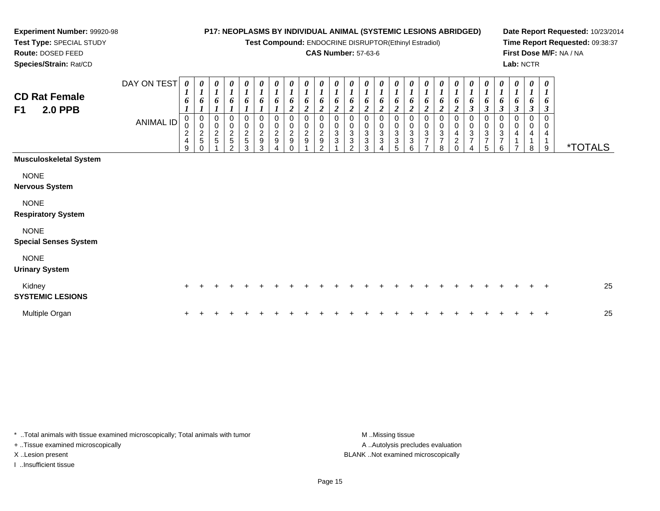**Test Compound:** ENDOCRINE DISRUPTOR(Ethinyl Estradiol)

#### **CAS Number:** 57-63-6

**Date Report Requested:** 10/23/2014**Time Report Requested:** 09:38:37**First Dose M/F:** NA / NA**Lab:** NCTR

**Route:** DOSED FEED **Species/Strain:** Rat/CDDAY ON TEST *0 1***CD Rat Female***0 10 10 10 10 10 1*

**Experiment Number:** 99920-98**Test Type:** SPECIAL STUDY

| <b>CD Rat Female</b><br><b>2.0 PPB</b><br>F <sub>1</sub>                         | DAY ON TEST<br><b>ANIMAL ID</b> | 0<br>$\overline{I}$<br>6<br>0<br>0<br>$\boldsymbol{2}$<br>$\overline{\mathbf{4}}$<br>9 | 0<br>$\boldsymbol{l}$<br>6<br>0<br>0<br>$\frac{2}{5}$ | $\boldsymbol{\theta}$<br>$\boldsymbol{l}$<br>6<br>0<br>$\pmb{0}$<br>$\overline{2}$<br>5 | $\frac{\boldsymbol{\theta}}{\boldsymbol{I}}$<br>6<br>0<br>$\begin{array}{c} 0 \\ 2 \\ 5 \end{array}$<br>$\mathfrak{p}$ | 0<br>$\boldsymbol{l}$<br>6<br>0<br>$\frac{0}{2}$<br>3 | 0<br>$\boldsymbol{l}$<br>6<br>0<br>$^{\rm 0}_{\rm 2}$<br>$\boldsymbol{9}$<br>3 | $\boldsymbol{\theta}$<br>0<br>$\pmb{0}$<br>$\boldsymbol{2}$<br>$\boldsymbol{9}$ | 0<br>$\mathbf{I}$<br>0<br>0<br>$\boldsymbol{2}$<br>$\mathsf g$ | 0<br>6<br>$\overline{2}$<br>0<br>0<br>$\overline{c}$<br>9 | 0<br>2<br>0<br>$\overline{\mathbf{c}}$<br>$\boldsymbol{9}$<br>$\mathcal{P}$ | 0<br>6<br>2<br>0<br>$\pmb{0}$<br>$\mathbf 3$<br>3 | 0<br>$\boldsymbol{l}$<br>6<br>2<br>0<br>0<br>$\overline{3}$<br>3<br>$\mathfrak{p}$ | 0<br>$\boldsymbol{l}$<br>6<br>2<br>0<br>0<br>$\overline{3}$<br>3<br>3 | 0<br>$\boldsymbol{l}$<br>6<br>$\overline{\mathbf{c}}$<br>0<br>$\mathbf 0$<br>$\ensuremath{\mathsf{3}}$<br>3<br>4 | 0<br>$\boldsymbol{l}$<br>6<br>$\overline{c}$<br>0<br>$\pmb{0}$<br>$\overline{3}$<br>$\ensuremath{\mathsf{3}}$<br>5 | 0<br>$\boldsymbol{l}$<br>6<br>2<br>0<br>0<br>3<br>3<br>6 | 0<br>$\boldsymbol{l}$<br>6<br>$\boldsymbol{2}$<br>0<br>0<br>3<br>$\overline{ }$<br>$\overline{ }$ | 0<br>$\boldsymbol{l}$<br>0<br>3<br>8 | 0<br>$\boldsymbol{l}$<br>6<br>$\boldsymbol{2}$<br>0<br>$\pmb{0}$<br>4<br>2<br>$\Omega$ | $\frac{\theta}{I}$<br>6<br>$\mathbf{3}$<br>0<br>$\mathbf 0$<br>3<br>7<br>4 | 0<br>$\boldsymbol{l}$<br>6<br>$\boldsymbol{\beta}$<br>0<br>$_3^0$<br>$\overline{ }$<br>5 | 0<br>$\boldsymbol{l}$<br>6<br>$\boldsymbol{\beta}$<br>0<br>$\pmb{0}$<br>$\mathbf{3}$<br>$\overline{7}$<br>6 | 0<br>$\boldsymbol{l}$<br>6<br>$\boldsymbol{\beta}$<br>0<br>$\pmb{0}$<br>4<br>$\overline{ }$ | 0<br>$\boldsymbol{l}$<br>6<br>$\boldsymbol{\beta}$<br>0<br>0<br>4<br>8 | 0<br>$\boldsymbol{l}$<br>6<br>$\boldsymbol{\beta}$<br>0<br>$\overline{4}$<br>$\mathbf{1}$<br>9 | <i><b>*TOTALS</b></i> |
|----------------------------------------------------------------------------------|---------------------------------|----------------------------------------------------------------------------------------|-------------------------------------------------------|-----------------------------------------------------------------------------------------|------------------------------------------------------------------------------------------------------------------------|-------------------------------------------------------|--------------------------------------------------------------------------------|---------------------------------------------------------------------------------|----------------------------------------------------------------|-----------------------------------------------------------|-----------------------------------------------------------------------------|---------------------------------------------------|------------------------------------------------------------------------------------|-----------------------------------------------------------------------|------------------------------------------------------------------------------------------------------------------|--------------------------------------------------------------------------------------------------------------------|----------------------------------------------------------|---------------------------------------------------------------------------------------------------|--------------------------------------|----------------------------------------------------------------------------------------|----------------------------------------------------------------------------|------------------------------------------------------------------------------------------|-------------------------------------------------------------------------------------------------------------|---------------------------------------------------------------------------------------------|------------------------------------------------------------------------|------------------------------------------------------------------------------------------------|-----------------------|
| <b>Musculoskeletal System</b>                                                    |                                 |                                                                                        |                                                       |                                                                                         |                                                                                                                        |                                                       |                                                                                |                                                                                 |                                                                |                                                           |                                                                             |                                                   |                                                                                    |                                                                       |                                                                                                                  |                                                                                                                    |                                                          |                                                                                                   |                                      |                                                                                        |                                                                            |                                                                                          |                                                                                                             |                                                                                             |                                                                        |                                                                                                |                       |
| <b>NONE</b><br><b>Nervous System</b><br><b>NONE</b><br><b>Respiratory System</b> |                                 |                                                                                        |                                                       |                                                                                         |                                                                                                                        |                                                       |                                                                                |                                                                                 |                                                                |                                                           |                                                                             |                                                   |                                                                                    |                                                                       |                                                                                                                  |                                                                                                                    |                                                          |                                                                                                   |                                      |                                                                                        |                                                                            |                                                                                          |                                                                                                             |                                                                                             |                                                                        |                                                                                                |                       |
| <b>NONE</b><br><b>Special Senses System</b>                                      |                                 |                                                                                        |                                                       |                                                                                         |                                                                                                                        |                                                       |                                                                                |                                                                                 |                                                                |                                                           |                                                                             |                                                   |                                                                                    |                                                                       |                                                                                                                  |                                                                                                                    |                                                          |                                                                                                   |                                      |                                                                                        |                                                                            |                                                                                          |                                                                                                             |                                                                                             |                                                                        |                                                                                                |                       |
| <b>NONE</b><br><b>Urinary System</b>                                             |                                 |                                                                                        |                                                       |                                                                                         |                                                                                                                        |                                                       |                                                                                |                                                                                 |                                                                |                                                           |                                                                             |                                                   |                                                                                    |                                                                       |                                                                                                                  |                                                                                                                    |                                                          |                                                                                                   |                                      |                                                                                        |                                                                            |                                                                                          |                                                                                                             |                                                                                             |                                                                        |                                                                                                |                       |
| Kidney<br><b>SYSTEMIC LESIONS</b>                                                |                                 | $\ddot{}$                                                                              |                                                       |                                                                                         |                                                                                                                        |                                                       |                                                                                |                                                                                 |                                                                |                                                           |                                                                             |                                                   |                                                                                    |                                                                       |                                                                                                                  |                                                                                                                    |                                                          |                                                                                                   |                                      |                                                                                        |                                                                            |                                                                                          |                                                                                                             |                                                                                             |                                                                        | $\pm$                                                                                          | 25                    |
| Multiple Organ                                                                   |                                 | +                                                                                      |                                                       |                                                                                         |                                                                                                                        |                                                       |                                                                                |                                                                                 |                                                                |                                                           |                                                                             |                                                   |                                                                                    |                                                                       |                                                                                                                  |                                                                                                                    |                                                          |                                                                                                   |                                      |                                                                                        |                                                                            |                                                                                          |                                                                                                             |                                                                                             |                                                                        | $\ddot{}$                                                                                      | 25                    |

\* ..Total animals with tissue examined microscopically; Total animals with tumor **M** ...Missing tissue M ...Missing tissue + ..Tissue examined microscopically X ..Lesion present BLANK ..Not examined microscopically

I ..Insufficient tissue

A .. Autolysis precludes evaluation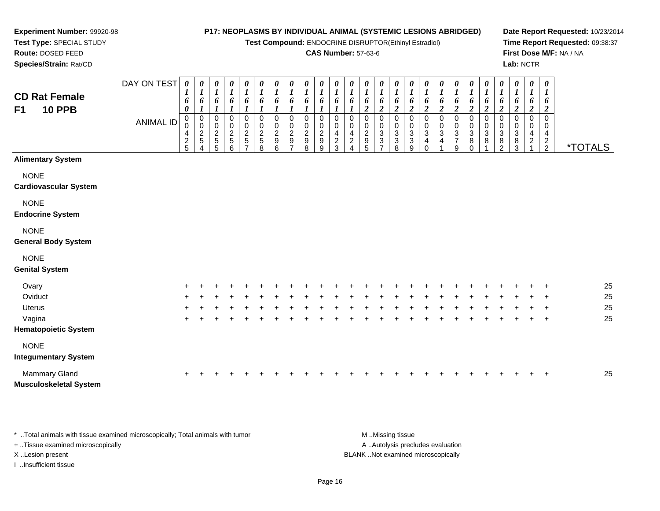DAY ON TEST*0000000000000000000000000*

**Test Compound:** ENDOCRINE DISRUPTOR(Ethinyl Estradiol)

#### **CAS Number:** 57-63-6

**Date Report Requested:** 10/23/2014**Time Report Requested:** 09:38:37**First Dose M/F:** NA / NA**Lab:** NCTR

| <b>CD Rat Female</b><br><b>10 PPB</b><br>F <sub>1</sub> |                  | $\boldsymbol{l}$<br>6<br>$\boldsymbol{\theta}$ | $\boldsymbol{I}$<br>6<br>$\boldsymbol{l}$      | $\boldsymbol{l}$<br>6<br>$\boldsymbol{l}$      | $\boldsymbol{l}$<br>$\pmb{6}$<br>$\boldsymbol{l}$         | $\boldsymbol{I}$<br>6<br>1                          | $\boldsymbol{I}$<br>6<br>$\boldsymbol{l}$    | $\boldsymbol{l}$<br>$\pmb{6}$<br>1                 | 6<br>$\boldsymbol{l}$                                     | $\boldsymbol{l}$<br>$\pmb{6}$<br>$\boldsymbol{l}$             | $\boldsymbol{l}$<br>6<br>$\boldsymbol{l}$ | $\boldsymbol{l}$<br>6<br>$\boldsymbol{l}$         | $\boldsymbol{l}$<br>6<br>1                               | $\boldsymbol{l}$<br>6<br>$\overline{2}$                     | $\mathbf{I}$<br>6<br>$\overline{c}$                                 | $\pmb{6}$<br>$\boldsymbol{2}$           | 6<br>$\overline{c}$            | $\boldsymbol{l}$<br>6<br>$\boldsymbol{2}$            | $\boldsymbol{I}$<br>6<br>$\boldsymbol{2}$ | 1<br>$\pmb{6}$<br>$\boldsymbol{2}$                      | 1<br>6<br>$\boldsymbol{2}$              | $\overline{I}$<br>6<br>$\boldsymbol{2}$  | 1<br>$\pmb{6}$<br>$\boldsymbol{2}$          | $\pmb{6}$<br>$\boldsymbol{2}$                            | $\boldsymbol{l}$<br>6<br>$\overline{2}$ | $\bm{l}$<br>6<br>$\boldsymbol{2}$      |                       |
|---------------------------------------------------------|------------------|------------------------------------------------|------------------------------------------------|------------------------------------------------|-----------------------------------------------------------|-----------------------------------------------------|----------------------------------------------|----------------------------------------------------|-----------------------------------------------------------|---------------------------------------------------------------|-------------------------------------------|---------------------------------------------------|----------------------------------------------------------|-------------------------------------------------------------|---------------------------------------------------------------------|-----------------------------------------|--------------------------------|------------------------------------------------------|-------------------------------------------|---------------------------------------------------------|-----------------------------------------|------------------------------------------|---------------------------------------------|----------------------------------------------------------|-----------------------------------------|----------------------------------------|-----------------------|
|                                                         | <b>ANIMAL ID</b> | 0<br>0<br>4<br>$\frac{2}{5}$                   | $\mathbf 0$<br>$\pmb{0}$<br>$\frac{2}{5}$<br>4 | $\mathbf 0$<br>$\pmb{0}$<br>$\frac{2}{5}$<br>5 | $\pmb{0}$<br>$\pmb{0}$<br>$\frac{2}{5}$<br>$6\phantom{1}$ | 0<br>$\mathbf 0$<br>$\frac{2}{5}$<br>$\overline{7}$ | $\pmb{0}$<br>$\pmb{0}$<br>$\frac{2}{5}$<br>8 | $\pmb{0}$<br>$\pmb{0}$<br>$\overline{c}$<br>9<br>6 | $\pmb{0}$<br>$\pmb{0}$<br>$\frac{2}{9}$<br>$\overline{7}$ | $\mathbf 0$<br>0<br>$\boldsymbol{2}$<br>$\boldsymbol{9}$<br>8 | 0<br>0<br>$\frac{2}{9}$<br>9              | $\pmb{0}$<br>0<br>$\overline{4}$<br>$\frac{2}{3}$ | $\,0\,$<br>0<br>$\overline{\mathbf{4}}$<br>$\frac{2}{4}$ | 0<br>$\mathbf 0$<br>$\overline{c}$<br>$\boldsymbol{9}$<br>5 | 0<br>0<br>$\sqrt{3}$<br>$\ensuremath{\mathsf{3}}$<br>$\overline{7}$ | 0<br>0<br>$\sqrt{3}$<br>$\sqrt{3}$<br>8 | 0<br>0<br>$\sqrt{3}$<br>3<br>9 | 0<br>0<br>$\ensuremath{\mathsf{3}}$<br>4<br>$\Omega$ | 0<br>0<br>$\ensuremath{\mathsf{3}}$<br>4  | $\mathbf 0$<br>0<br>$\ensuremath{\mathsf{3}}$<br>7<br>9 | 0<br>0<br>$\mathbf{3}$<br>8<br>$\Omega$ | 0<br>0<br>$\ensuremath{\mathsf{3}}$<br>8 | 0<br>0<br>$\sqrt{3}$<br>8<br>$\overline{2}$ | 0<br>0<br>$\ensuremath{\mathsf{3}}$<br>8<br>$\mathbf{3}$ | $\mathbf 0$<br>0<br>4<br>$\overline{a}$ | $\mathbf 0$<br>0<br>4<br>$\frac{2}{2}$ | <i><b>*TOTALS</b></i> |
| <b>Alimentary System</b>                                |                  |                                                |                                                |                                                |                                                           |                                                     |                                              |                                                    |                                                           |                                                               |                                           |                                                   |                                                          |                                                             |                                                                     |                                         |                                |                                                      |                                           |                                                         |                                         |                                          |                                             |                                                          |                                         |                                        |                       |
| <b>NONE</b><br><b>Cardiovascular System</b>             |                  |                                                |                                                |                                                |                                                           |                                                     |                                              |                                                    |                                                           |                                                               |                                           |                                                   |                                                          |                                                             |                                                                     |                                         |                                |                                                      |                                           |                                                         |                                         |                                          |                                             |                                                          |                                         |                                        |                       |
| <b>NONE</b><br><b>Endocrine System</b>                  |                  |                                                |                                                |                                                |                                                           |                                                     |                                              |                                                    |                                                           |                                                               |                                           |                                                   |                                                          |                                                             |                                                                     |                                         |                                |                                                      |                                           |                                                         |                                         |                                          |                                             |                                                          |                                         |                                        |                       |
| <b>NONE</b><br><b>General Body System</b>               |                  |                                                |                                                |                                                |                                                           |                                                     |                                              |                                                    |                                                           |                                                               |                                           |                                                   |                                                          |                                                             |                                                                     |                                         |                                |                                                      |                                           |                                                         |                                         |                                          |                                             |                                                          |                                         |                                        |                       |
| <b>NONE</b><br><b>Genital System</b>                    |                  |                                                |                                                |                                                |                                                           |                                                     |                                              |                                                    |                                                           |                                                               |                                           |                                                   |                                                          |                                                             |                                                                     |                                         |                                |                                                      |                                           |                                                         |                                         |                                          |                                             |                                                          |                                         |                                        |                       |
| Ovary                                                   |                  |                                                |                                                |                                                |                                                           |                                                     |                                              |                                                    |                                                           |                                                               |                                           |                                                   |                                                          |                                                             |                                                                     |                                         |                                |                                                      |                                           |                                                         |                                         |                                          |                                             |                                                          |                                         |                                        | 25                    |
| Oviduct                                                 |                  |                                                |                                                |                                                |                                                           |                                                     |                                              |                                                    |                                                           |                                                               |                                           |                                                   |                                                          |                                                             |                                                                     |                                         |                                |                                                      |                                           |                                                         |                                         |                                          |                                             |                                                          |                                         |                                        | 25                    |
| Uterus                                                  |                  |                                                |                                                |                                                |                                                           |                                                     |                                              |                                                    |                                                           |                                                               |                                           |                                                   |                                                          |                                                             |                                                                     |                                         |                                |                                                      |                                           |                                                         |                                         |                                          |                                             |                                                          |                                         |                                        | 25                    |
| Vagina                                                  |                  | ÷                                              |                                                |                                                |                                                           |                                                     |                                              |                                                    |                                                           |                                                               |                                           |                                                   |                                                          |                                                             |                                                                     |                                         |                                |                                                      |                                           |                                                         |                                         |                                          |                                             |                                                          |                                         | ÷                                      | 25                    |
| <b>Hematopoietic System</b>                             |                  |                                                |                                                |                                                |                                                           |                                                     |                                              |                                                    |                                                           |                                                               |                                           |                                                   |                                                          |                                                             |                                                                     |                                         |                                |                                                      |                                           |                                                         |                                         |                                          |                                             |                                                          |                                         |                                        |                       |
| <b>NONE</b><br><b>Integumentary System</b>              |                  |                                                |                                                |                                                |                                                           |                                                     |                                              |                                                    |                                                           |                                                               |                                           |                                                   |                                                          |                                                             |                                                                     |                                         |                                |                                                      |                                           |                                                         |                                         |                                          |                                             |                                                          |                                         |                                        |                       |
| Mammary Gland<br><b>Musculoskeletal System</b>          |                  | ÷                                              |                                                |                                                |                                                           |                                                     |                                              |                                                    |                                                           |                                                               |                                           |                                                   |                                                          |                                                             |                                                                     |                                         |                                |                                                      |                                           |                                                         |                                         |                                          |                                             |                                                          |                                         | $\ddot{}$                              | 25                    |

\* ..Total animals with tissue examined microscopically; Total animals with tumor **M** ..Missing tissue M ..Missing tissue A .. Autolysis precludes evaluation + ..Tissue examined microscopically X ..Lesion present BLANK ..Not examined microscopicallyI ..Insufficient tissue

**Experiment Number:** 99920-98**Test Type:** SPECIAL STUDY**Route:** DOSED FEED**Species/Strain:** Rat/CD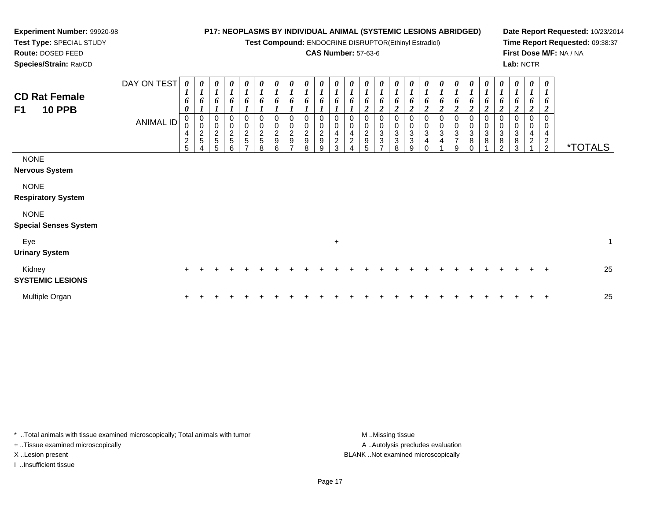**Test Compound:** ENDOCRINE DISRUPTOR(Ethinyl Estradiol)

## **CAS Number:** 57-63-6

*0 1*

*0 1*

*0 1*

*0 1*

*0 1*

*0 1*

*0 1*

*0 1*

*0 1*

*0 1*

*0 1*

*0 1*

*0 1*

*0 1*

**Date Report Requested:** 10/23/2014**Time Report Requested:** 09:38:37**First Dose M/F:** NA / NA**Lab:** NCTR

**Route:** DOSED FEED **Species/Strain:** Rat/CDDAY ON TEST *0 1***CD Rat FemaleF1 10 PPB***0 10 10 10 10 10 10 10 10 10 1*

**Experiment Number:** 99920-98**Test Type:** SPECIAL STUDY

| <b>CD Rat Female</b><br>F1<br><b>10 PPB</b><br><b>NONE</b>        | <b>ANIMAL ID</b> | 6<br>0<br>0<br>0<br>4<br>$\overline{c}$<br>5 | 6<br>0<br>0<br>$rac{2}{5}$ | 6<br>J.<br>0<br>0<br>$\frac{2}{5}$<br>5 | 6<br>$\boldsymbol{l}$<br>0<br>$\pmb{0}$<br>$\frac{2}{5}$<br>6 | 6<br>0<br>$\begin{array}{c} 0 \\ 2 \\ 5 \end{array}$<br>– | 6<br>$\pmb{0}$<br>$\frac{2}{5}$<br>8 | 6<br>0<br>$\boldsymbol{2}$<br>9<br>6 | 6<br>$\frac{0}{2}$<br>9 | 6<br>0<br>$\overline{c}$<br>9<br>8 | 6<br>$\pmb{0}$<br>$\frac{2}{9}$<br>9 | 6<br>0<br>4<br>$\overline{c}$<br>3 | 6<br>0<br>0<br>4<br>$\overline{\mathbf{c}}$<br>4 | 6<br>$\overline{2}$<br>$\boldsymbol{0}$<br>$\boldsymbol{2}$<br>9<br>5 | 6<br>$\overline{2}$<br>0<br>$\ensuremath{\mathsf{3}}$<br>3<br>$\overline{ }$ | 6<br>$\overline{2}$<br>$_{3}^{\rm 0}$<br>$\ensuremath{\mathsf{3}}$<br>8 | $\frac{6}{2}$<br>0<br>$\begin{smallmatrix}0\3\3\end{smallmatrix}$<br>9 | $\frac{6}{2}$<br>$\frac{0}{3}$<br>$\Omega$ | 6<br>$\boldsymbol{2}$<br>0<br>$\ensuremath{\mathsf{3}}$<br>4 | 6<br>$\overline{2}$<br>0<br>$\pmb{0}$<br>$\ensuremath{\mathsf{3}}$<br>$\overline{7}$<br>9 | 6<br>$\overline{2}$<br>0<br>3<br>8 | 6<br>$\boldsymbol{2}$<br>0<br>$\mathbf{3}$<br>8 | 6<br>2<br>0<br>3<br>8<br>$\mathcal{P}$ | 6<br>$\overline{2}$<br>0<br>$\mathbf 3$<br>8<br>3 | $\frac{6}{2}$<br>0<br>0<br>$\overline{4}$<br>$\overline{a}$ | 6<br>$\boldsymbol{2}$<br>4<br>$\frac{2}{2}$ | <i><b>*TOTALS</b></i> |    |
|-------------------------------------------------------------------|------------------|----------------------------------------------|----------------------------|-----------------------------------------|---------------------------------------------------------------|-----------------------------------------------------------|--------------------------------------|--------------------------------------|-------------------------|------------------------------------|--------------------------------------|------------------------------------|--------------------------------------------------|-----------------------------------------------------------------------|------------------------------------------------------------------------------|-------------------------------------------------------------------------|------------------------------------------------------------------------|--------------------------------------------|--------------------------------------------------------------|-------------------------------------------------------------------------------------------|------------------------------------|-------------------------------------------------|----------------------------------------|---------------------------------------------------|-------------------------------------------------------------|---------------------------------------------|-----------------------|----|
| <b>Nervous System</b><br><b>NONE</b><br><b>Respiratory System</b> |                  |                                              |                            |                                         |                                                               |                                                           |                                      |                                      |                         |                                    |                                      |                                    |                                                  |                                                                       |                                                                              |                                                                         |                                                                        |                                            |                                                              |                                                                                           |                                    |                                                 |                                        |                                                   |                                                             |                                             |                       |    |
| <b>NONE</b><br><b>Special Senses System</b>                       |                  |                                              |                            |                                         |                                                               |                                                           |                                      |                                      |                         |                                    |                                      |                                    |                                                  |                                                                       |                                                                              |                                                                         |                                                                        |                                            |                                                              |                                                                                           |                                    |                                                 |                                        |                                                   |                                                             |                                             |                       |    |
| Eye<br><b>Urinary System</b>                                      |                  |                                              |                            |                                         |                                                               |                                                           |                                      |                                      |                         |                                    |                                      | $+$                                |                                                  |                                                                       |                                                                              |                                                                         |                                                                        |                                            |                                                              |                                                                                           |                                    |                                                 |                                        |                                                   |                                                             |                                             |                       | 1  |
| Kidney<br><b>SYSTEMIC LESIONS</b>                                 |                  | $+$                                          |                            |                                         |                                                               |                                                           |                                      |                                      |                         |                                    |                                      |                                    |                                                  |                                                                       |                                                                              |                                                                         |                                                                        |                                            |                                                              |                                                                                           |                                    |                                                 |                                        |                                                   |                                                             | $\ddot{}$                                   |                       | 25 |
| Multiple Organ                                                    |                  | +                                            |                            |                                         |                                                               |                                                           |                                      |                                      |                         |                                    |                                      |                                    |                                                  |                                                                       |                                                                              |                                                                         |                                                                        |                                            |                                                              |                                                                                           |                                    |                                                 |                                        |                                                   |                                                             | $\ddot{}$                                   |                       | 25 |

\* ..Total animals with tissue examined microscopically; Total animals with tumor **M** ...Missing tissue M ...Missing tissue A .. Autolysis precludes evaluation + ..Tissue examined microscopically X ..Lesion present BLANK ..Not examined microscopicallyI ..Insufficient tissue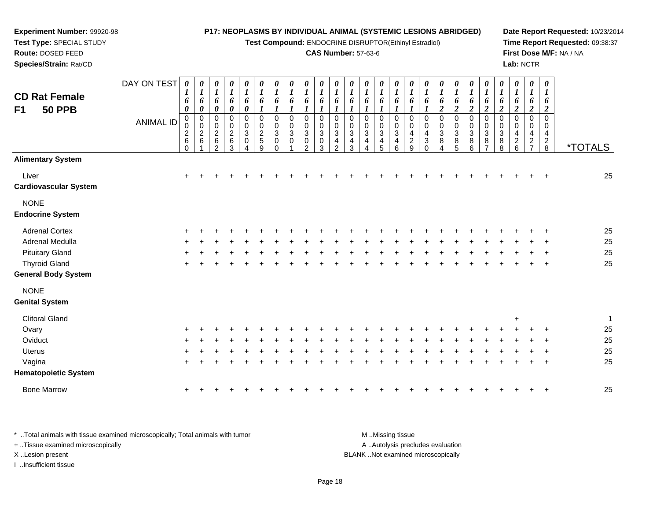**Test Compound:** ENDOCRINE DISRUPTOR(Ethinyl Estradiol)

#### **CAS Number:** 57-63-6

**Date Report Requested:** 10/23/2014**Time Report Requested:** 09:38:37**First Dose M/F:** NA / NA**Lab:** NCTR

| <b>CD Rat Female</b><br>F1<br><b>50 PPB</b> | DAY ON TEST<br><b>ANIMAL ID</b> | 0<br>$\boldsymbol{l}$<br>6<br>0<br>0<br>0<br>$\begin{array}{c} 2 \\ 6 \end{array}$<br>$\mathsf 0$ | $\boldsymbol{\theta}$<br>$\boldsymbol{l}$<br>6<br>0<br>$\mathbf 0$<br>$\mathbf 0$<br>$\sqrt{2}$<br>$6\phantom{1}6$ | 0<br>$\boldsymbol{l}$<br>6<br>0<br>0<br>0<br>$\overline{c}$<br>$\,6\,$<br>$\mathfrak{p}$ | 0<br>$\boldsymbol{l}$<br>6<br>$\pmb{\theta}$<br>0<br>0<br>$\overline{c}$<br>$\,6\,$<br>3 | 0<br>$\boldsymbol{l}$<br>6<br>$\boldsymbol{\theta}$<br>0<br>0<br>$\sqrt{3}$<br>0<br>Δ | 0<br>$\boldsymbol{l}$<br>6<br>$\boldsymbol{l}$<br>$\mathbf 0$<br>0<br>$\overline{c}$<br>5<br>9 | 0<br>$\boldsymbol{l}$<br>6<br>1<br>$\mathbf 0$<br>0<br>3<br>0<br>$\Omega$ | 0<br>$\boldsymbol{I}$<br>6<br>$\mathbf 0$<br>$\mathbf 0$<br>3<br>0 | 0<br>$\boldsymbol{l}$<br>6<br>1<br>0<br>0<br>3<br>0<br>2 | $\boldsymbol{l}$<br>6<br>1<br>0<br>0<br>3<br>0<br>3 | $\boldsymbol{\theta}$<br>1<br>6<br>0<br>0<br>3<br>4<br>$\mathfrak{p}$ | 0<br>$\boldsymbol{l}$<br>6<br>0<br>0<br>3<br>4<br>3 | $\boldsymbol{\theta}$<br>$\boldsymbol{l}$<br>6<br>$\Omega$<br>0<br>3<br>4<br>4 | 0<br>$\boldsymbol{l}$<br>6<br>0<br>0<br>$\mathbf{3}$<br>4<br>5 | $\boldsymbol{\theta}$<br>$\boldsymbol{l}$<br>6<br>$\mathbf 0$<br>$\mathbf 0$<br>3<br>4<br>6 | 0<br>$\boldsymbol{l}$<br>6<br>0<br>0<br>4<br>$\frac{2}{9}$ | 0<br>$\boldsymbol{l}$<br>6<br>$\mathbf 0$<br>$\mathbf 0$<br>4<br>$\sqrt{3}$<br>$\Omega$ | 0<br>$\boldsymbol{l}$<br>6<br>$\boldsymbol{2}$<br>0<br>0<br>$\ensuremath{\mathsf{3}}$<br>$\bf 8$<br>4 | 0<br>$\boldsymbol{l}$<br>6<br>$\boldsymbol{2}$<br>$\mathbf 0$<br>0<br>3<br>8<br>5 | 0<br>$\boldsymbol{l}$<br>6<br>$\boldsymbol{2}$<br>0<br>0<br>$\mathbf 3$<br>$\bf 8$<br>6 | 0<br>$\boldsymbol{l}$<br>6<br>$\overline{2}$<br>0<br>0<br>$\mathbf{3}$<br>$\,8\,$<br>$\overline{7}$ | 0<br>$\boldsymbol{l}$<br>6<br>2<br>$\mathbf 0$<br>$\mathbf 0$<br>$\mathbf{3}$<br>8<br>$\,8\,$ | 0<br>$\boldsymbol{I}$<br>6<br>$\overline{2}$<br>$\mathbf 0$<br>$\mathbf 0$<br>4<br>$\frac{2}{6}$ | 0<br>$\boldsymbol{l}$<br>6<br>$\boldsymbol{2}$<br>$\mathbf 0$<br>0<br>4<br>$\frac{2}{7}$ | $\boldsymbol{\theta}$<br>$\boldsymbol{l}$<br>6<br>2<br>$\Omega$<br>0<br>4<br>$\frac{2}{8}$ | <i><b>*TOTALS</b></i> |
|---------------------------------------------|---------------------------------|---------------------------------------------------------------------------------------------------|--------------------------------------------------------------------------------------------------------------------|------------------------------------------------------------------------------------------|------------------------------------------------------------------------------------------|---------------------------------------------------------------------------------------|------------------------------------------------------------------------------------------------|---------------------------------------------------------------------------|--------------------------------------------------------------------|----------------------------------------------------------|-----------------------------------------------------|-----------------------------------------------------------------------|-----------------------------------------------------|--------------------------------------------------------------------------------|----------------------------------------------------------------|---------------------------------------------------------------------------------------------|------------------------------------------------------------|-----------------------------------------------------------------------------------------|-------------------------------------------------------------------------------------------------------|-----------------------------------------------------------------------------------|-----------------------------------------------------------------------------------------|-----------------------------------------------------------------------------------------------------|-----------------------------------------------------------------------------------------------|--------------------------------------------------------------------------------------------------|------------------------------------------------------------------------------------------|--------------------------------------------------------------------------------------------|-----------------------|
| <b>Alimentary System</b>                    |                                 |                                                                                                   |                                                                                                                    |                                                                                          |                                                                                          |                                                                                       |                                                                                                |                                                                           |                                                                    |                                                          |                                                     |                                                                       |                                                     |                                                                                |                                                                |                                                                                             |                                                            |                                                                                         |                                                                                                       |                                                                                   |                                                                                         |                                                                                                     |                                                                                               |                                                                                                  |                                                                                          |                                                                                            |                       |
| Liver<br>Cardiovascular System              |                                 | $\ddot{}$                                                                                         |                                                                                                                    |                                                                                          |                                                                                          |                                                                                       |                                                                                                |                                                                           |                                                                    |                                                          |                                                     |                                                                       |                                                     |                                                                                |                                                                |                                                                                             |                                                            |                                                                                         |                                                                                                       |                                                                                   |                                                                                         |                                                                                                     |                                                                                               |                                                                                                  |                                                                                          |                                                                                            | 25                    |
| <b>NONE</b>                                 |                                 |                                                                                                   |                                                                                                                    |                                                                                          |                                                                                          |                                                                                       |                                                                                                |                                                                           |                                                                    |                                                          |                                                     |                                                                       |                                                     |                                                                                |                                                                |                                                                                             |                                                            |                                                                                         |                                                                                                       |                                                                                   |                                                                                         |                                                                                                     |                                                                                               |                                                                                                  |                                                                                          |                                                                                            |                       |
| <b>Endocrine System</b>                     |                                 |                                                                                                   |                                                                                                                    |                                                                                          |                                                                                          |                                                                                       |                                                                                                |                                                                           |                                                                    |                                                          |                                                     |                                                                       |                                                     |                                                                                |                                                                |                                                                                             |                                                            |                                                                                         |                                                                                                       |                                                                                   |                                                                                         |                                                                                                     |                                                                                               |                                                                                                  |                                                                                          |                                                                                            |                       |
| <b>Adrenal Cortex</b>                       |                                 | $\pm$                                                                                             |                                                                                                                    |                                                                                          |                                                                                          |                                                                                       |                                                                                                |                                                                           |                                                                    |                                                          |                                                     |                                                                       |                                                     |                                                                                |                                                                |                                                                                             |                                                            |                                                                                         |                                                                                                       |                                                                                   |                                                                                         |                                                                                                     |                                                                                               |                                                                                                  |                                                                                          |                                                                                            | 25                    |
| Adrenal Medulla                             |                                 |                                                                                                   |                                                                                                                    |                                                                                          |                                                                                          |                                                                                       |                                                                                                |                                                                           |                                                                    |                                                          |                                                     |                                                                       |                                                     |                                                                                |                                                                |                                                                                             |                                                            |                                                                                         |                                                                                                       |                                                                                   |                                                                                         |                                                                                                     |                                                                                               |                                                                                                  |                                                                                          |                                                                                            | 25                    |
| <b>Pituitary Gland</b>                      |                                 |                                                                                                   |                                                                                                                    |                                                                                          |                                                                                          |                                                                                       |                                                                                                |                                                                           |                                                                    |                                                          |                                                     |                                                                       |                                                     |                                                                                |                                                                |                                                                                             |                                                            |                                                                                         |                                                                                                       |                                                                                   |                                                                                         |                                                                                                     |                                                                                               |                                                                                                  |                                                                                          |                                                                                            | 25                    |
| <b>Thyroid Gland</b>                        |                                 |                                                                                                   |                                                                                                                    |                                                                                          |                                                                                          |                                                                                       |                                                                                                |                                                                           |                                                                    |                                                          |                                                     |                                                                       |                                                     |                                                                                |                                                                |                                                                                             |                                                            |                                                                                         |                                                                                                       |                                                                                   |                                                                                         |                                                                                                     |                                                                                               |                                                                                                  |                                                                                          |                                                                                            | 25                    |
| General Body System                         |                                 |                                                                                                   |                                                                                                                    |                                                                                          |                                                                                          |                                                                                       |                                                                                                |                                                                           |                                                                    |                                                          |                                                     |                                                                       |                                                     |                                                                                |                                                                |                                                                                             |                                                            |                                                                                         |                                                                                                       |                                                                                   |                                                                                         |                                                                                                     |                                                                                               |                                                                                                  |                                                                                          |                                                                                            |                       |
| <b>NONE</b><br><b>Genital System</b>        |                                 |                                                                                                   |                                                                                                                    |                                                                                          |                                                                                          |                                                                                       |                                                                                                |                                                                           |                                                                    |                                                          |                                                     |                                                                       |                                                     |                                                                                |                                                                |                                                                                             |                                                            |                                                                                         |                                                                                                       |                                                                                   |                                                                                         |                                                                                                     |                                                                                               |                                                                                                  |                                                                                          |                                                                                            |                       |
| <b>Clitoral Gland</b>                       |                                 |                                                                                                   |                                                                                                                    |                                                                                          |                                                                                          |                                                                                       |                                                                                                |                                                                           |                                                                    |                                                          |                                                     |                                                                       |                                                     |                                                                                |                                                                |                                                                                             |                                                            |                                                                                         |                                                                                                       |                                                                                   |                                                                                         |                                                                                                     |                                                                                               | ÷                                                                                                |                                                                                          |                                                                                            | 1                     |
| Ovary                                       |                                 |                                                                                                   |                                                                                                                    |                                                                                          |                                                                                          |                                                                                       |                                                                                                |                                                                           |                                                                    |                                                          |                                                     |                                                                       |                                                     |                                                                                |                                                                |                                                                                             |                                                            |                                                                                         |                                                                                                       |                                                                                   |                                                                                         |                                                                                                     |                                                                                               |                                                                                                  |                                                                                          |                                                                                            | 25                    |
| Oviduct                                     |                                 |                                                                                                   |                                                                                                                    |                                                                                          |                                                                                          |                                                                                       |                                                                                                |                                                                           |                                                                    |                                                          |                                                     |                                                                       |                                                     |                                                                                |                                                                |                                                                                             |                                                            |                                                                                         |                                                                                                       |                                                                                   |                                                                                         |                                                                                                     |                                                                                               |                                                                                                  |                                                                                          |                                                                                            | 25                    |
| Uterus                                      |                                 |                                                                                                   |                                                                                                                    |                                                                                          |                                                                                          |                                                                                       |                                                                                                |                                                                           |                                                                    |                                                          |                                                     |                                                                       |                                                     |                                                                                |                                                                |                                                                                             |                                                            |                                                                                         |                                                                                                       |                                                                                   |                                                                                         |                                                                                                     |                                                                                               |                                                                                                  |                                                                                          |                                                                                            | 25                    |
| Vagina                                      |                                 |                                                                                                   |                                                                                                                    |                                                                                          |                                                                                          |                                                                                       |                                                                                                |                                                                           |                                                                    |                                                          |                                                     |                                                                       |                                                     |                                                                                |                                                                |                                                                                             |                                                            |                                                                                         |                                                                                                       |                                                                                   |                                                                                         |                                                                                                     |                                                                                               |                                                                                                  |                                                                                          |                                                                                            | 25                    |
| <b>Hematopoietic System</b>                 |                                 |                                                                                                   |                                                                                                                    |                                                                                          |                                                                                          |                                                                                       |                                                                                                |                                                                           |                                                                    |                                                          |                                                     |                                                                       |                                                     |                                                                                |                                                                |                                                                                             |                                                            |                                                                                         |                                                                                                       |                                                                                   |                                                                                         |                                                                                                     |                                                                                               |                                                                                                  |                                                                                          |                                                                                            |                       |
| <b>Bone Marrow</b>                          |                                 | $\pm$                                                                                             |                                                                                                                    |                                                                                          |                                                                                          |                                                                                       |                                                                                                |                                                                           |                                                                    |                                                          |                                                     |                                                                       |                                                     |                                                                                |                                                                |                                                                                             |                                                            |                                                                                         |                                                                                                       |                                                                                   |                                                                                         |                                                                                                     |                                                                                               |                                                                                                  |                                                                                          |                                                                                            | 25                    |

\* ..Total animals with tissue examined microscopically; Total animals with tumor **M** ...Missing tissue M ...Missing tissue A ..Autolysis precludes evaluation + ..Tissue examined microscopically X ..Lesion present BLANK ..Not examined microscopicallyI ..Insufficient tissue

**Experiment Number:** 99920-98**Test Type:** SPECIAL STUDY**Route:** DOSED FEED**Species/Strain:** Rat/CD

<sup>+</sup> <sup>+</sup> <sup>+</sup> <sup>+</sup> <sup>+</sup> <sup>+</sup> <sup>+</sup> <sup>+</sup> <sup>+</sup> <sup>+</sup> <sup>+</sup> <sup>+</sup> <sup>+</sup> <sup>+</sup> <sup>+</sup> <sup>+</sup> <sup>+</sup> <sup>+</sup> <sup>+</sup> <sup>+</sup> <sup>+</sup> <sup>+</sup> <sup>+</sup> <sup>+</sup> <sup>+</sup> <sup>25</sup>